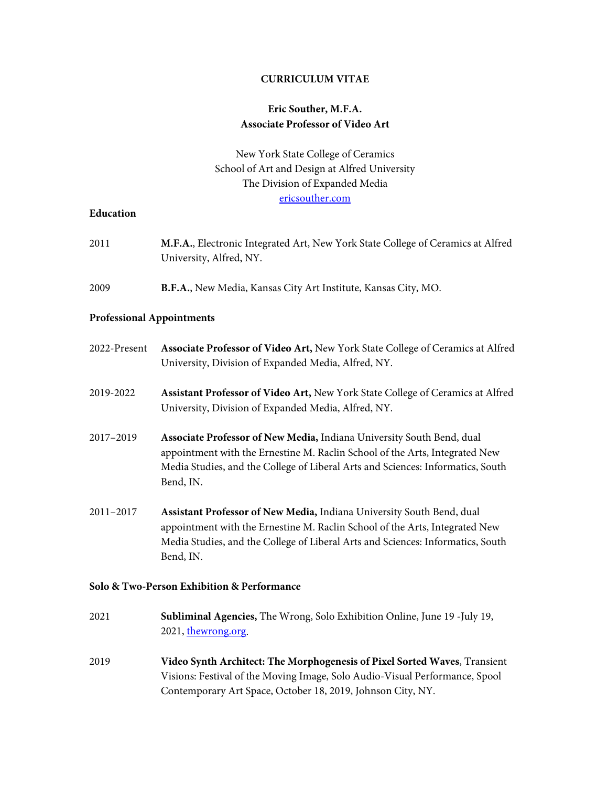#### **CURRICULUM VITAE**

### **Eric Souther, M.F.A. Associate Professor of Video Art**

New York State College of Ceramics School of Art and Design at Alfred University The Division of Expanded Media [ericsouther.com](https://www.ericsouther.com/)

#### **Education**

| M.F.A., Electronic Integrated Art, New York State College of Ceramics at Alfred                                                                                |  |  |
|----------------------------------------------------------------------------------------------------------------------------------------------------------------|--|--|
|                                                                                                                                                                |  |  |
|                                                                                                                                                                |  |  |
| Associate Professor of Video Art, New York State College of Ceramics at Alfred                                                                                 |  |  |
| Assistant Professor of Video Art, New York State College of Ceramics at Alfred                                                                                 |  |  |
| appointment with the Ernestine M. Raclin School of the Arts, Integrated New<br>Media Studies, and the College of Liberal Arts and Sciences: Informatics, South |  |  |
| appointment with the Ernestine M. Raclin School of the Arts, Integrated New<br>Media Studies, and the College of Liberal Arts and Sciences: Informatics, South |  |  |
| Solo & Two-Person Exhibition & Performance                                                                                                                     |  |  |
|                                                                                                                                                                |  |  |
| Video Synth Architect: The Morphogenesis of Pixel Sorted Waves, Transient<br>Visions: Festival of the Moving Image, Solo Audio-Visual Performance, Spool       |  |  |
|                                                                                                                                                                |  |  |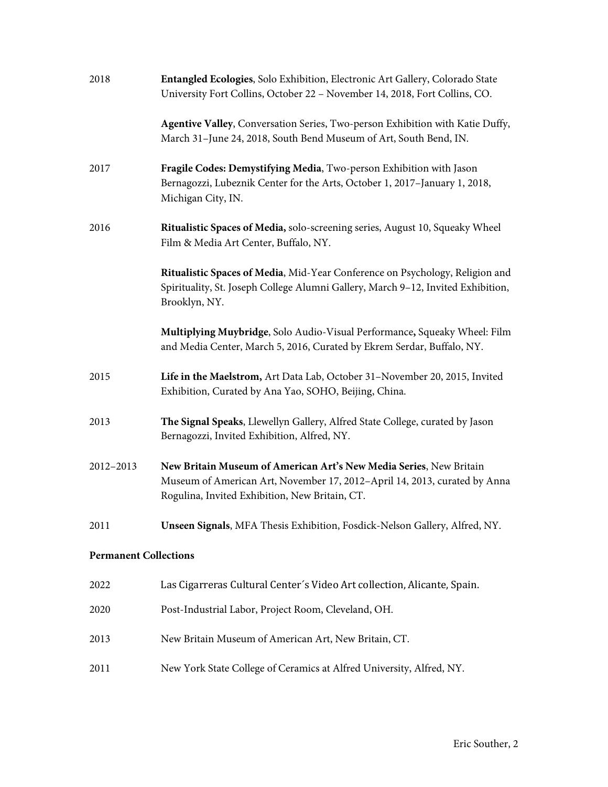| 2018                         | Entangled Ecologies, Solo Exhibition, Electronic Art Gallery, Colorado State<br>University Fort Collins, October 22 - November 14, 2018, Fort Collins, CO.                                        |
|------------------------------|---------------------------------------------------------------------------------------------------------------------------------------------------------------------------------------------------|
|                              | Agentive Valley, Conversation Series, Two-person Exhibition with Katie Duffy,<br>March 31-June 24, 2018, South Bend Museum of Art, South Bend, IN.                                                |
| 2017                         | Fragile Codes: Demystifying Media, Two-person Exhibition with Jason<br>Bernagozzi, Lubeznik Center for the Arts, October 1, 2017-January 1, 2018,<br>Michigan City, IN.                           |
| 2016                         | Ritualistic Spaces of Media, solo-screening series, August 10, Squeaky Wheel<br>Film & Media Art Center, Buffalo, NY.                                                                             |
|                              | Ritualistic Spaces of Media, Mid-Year Conference on Psychology, Religion and<br>Spirituality, St. Joseph College Alumni Gallery, March 9-12, Invited Exhibition,<br>Brooklyn, NY.                 |
|                              | Multiplying Muybridge, Solo Audio-Visual Performance, Squeaky Wheel: Film<br>and Media Center, March 5, 2016, Curated by Ekrem Serdar, Buffalo, NY.                                               |
| 2015                         | Life in the Maelstrom, Art Data Lab, October 31-November 20, 2015, Invited<br>Exhibition, Curated by Ana Yao, SOHO, Beijing, China.                                                               |
| 2013                         | The Signal Speaks, Llewellyn Gallery, Alfred State College, curated by Jason<br>Bernagozzi, Invited Exhibition, Alfred, NY.                                                                       |
| 2012-2013                    | New Britain Museum of American Art's New Media Series, New Britain<br>Museum of American Art, November 17, 2012-April 14, 2013, curated by Anna<br>Rogulina, Invited Exhibition, New Britain, CT. |
| 2011                         | Unseen Signals, MFA Thesis Exhibition, Fosdick-Nelson Gallery, Alfred, NY.                                                                                                                        |
| <b>Permanent Collections</b> |                                                                                                                                                                                                   |
| 2022                         | Las Cigarreras Cultural Center's Video Art collection, Alicante, Spain.                                                                                                                           |
| 2020                         | Post-Industrial Labor, Project Room, Cleveland, OH.                                                                                                                                               |
| 2013                         | New Britain Museum of American Art, New Britain, CT.                                                                                                                                              |
| 2011                         | New York State College of Ceramics at Alfred University, Alfred, NY.                                                                                                                              |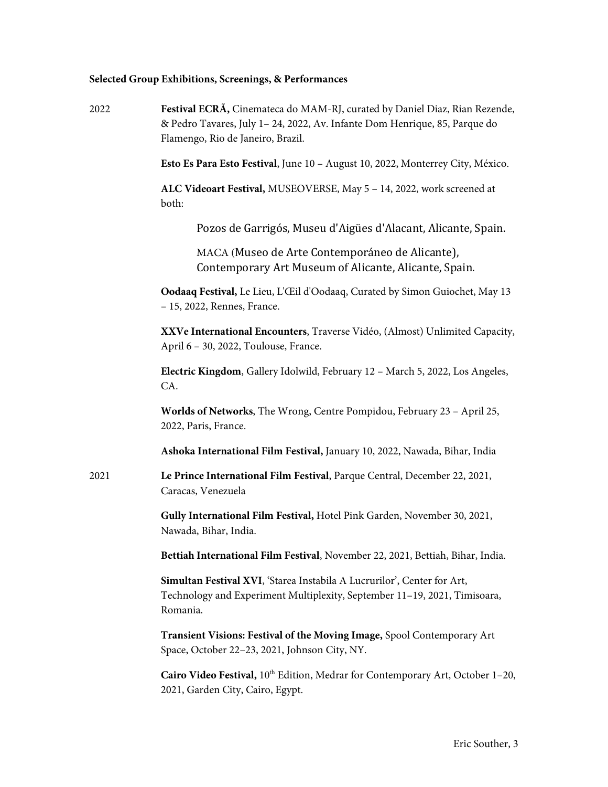# **Selected Group Exhibitions, Screenings, & Performances**

| 2022 | Festival ECRÃ, Cinemateca do MAM-RJ, curated by Daniel Diaz, Rian Rezende,<br>& Pedro Tavares, July 1-24, 2022, Av. Infante Dom Henrique, 85, Parque do<br>Flamengo, Rio de Janeiro, Brazil. |
|------|----------------------------------------------------------------------------------------------------------------------------------------------------------------------------------------------|
|      | Esto Es Para Esto Festival, June 10 - August 10, 2022, Monterrey City, México.                                                                                                               |
|      | ALC Videoart Festival, MUSEOVERSE, May 5 - 14, 2022, work screened at<br>both:                                                                                                               |
|      | Pozos de Garrigós, Museu d'Aigües d'Alacant, Alicante, Spain.                                                                                                                                |
|      | MACA (Museo de Arte Contemporáneo de Alicante),<br>Contemporary Art Museum of Alicante, Alicante, Spain.                                                                                     |
|      | Oodaaq Festival, Le Lieu, L'Œil d'Oodaaq, Curated by Simon Guiochet, May 13<br>- 15, 2022, Rennes, France.                                                                                   |
|      | XXVe International Encounters, Traverse Vidéo, (Almost) Unlimited Capacity,<br>April 6 - 30, 2022, Toulouse, France.                                                                         |
|      | Electric Kingdom, Gallery Idolwild, February 12 - March 5, 2022, Los Angeles,<br>CA.                                                                                                         |
|      | Worlds of Networks, The Wrong, Centre Pompidou, February 23 - April 25,<br>2022, Paris, France.                                                                                              |
|      | Ashoka International Film Festival, January 10, 2022, Nawada, Bihar, India                                                                                                                   |
| 2021 | Le Prince International Film Festival, Parque Central, December 22, 2021,<br>Caracas, Venezuela                                                                                              |
|      | Gully International Film Festival, Hotel Pink Garden, November 30, 2021,<br>Nawada, Bihar, India.                                                                                            |
|      | Bettiah International Film Festival, November 22, 2021, Bettiah, Bihar, India.                                                                                                               |
|      | Simultan Festival XVI, 'Starea Instabila A Lucrurilor', Center for Art,<br>Technology and Experiment Multiplexity, September 11-19, 2021, Timisoara,<br>Romania.                             |
|      | Transient Visions: Festival of the Moving Image, Spool Contemporary Art<br>Space, October 22-23, 2021, Johnson City, NY.                                                                     |
|      | Cairo Video Festival, 10 <sup>th</sup> Edition, Medrar for Contemporary Art, October 1-20,<br>2021, Garden City, Cairo, Egypt.                                                               |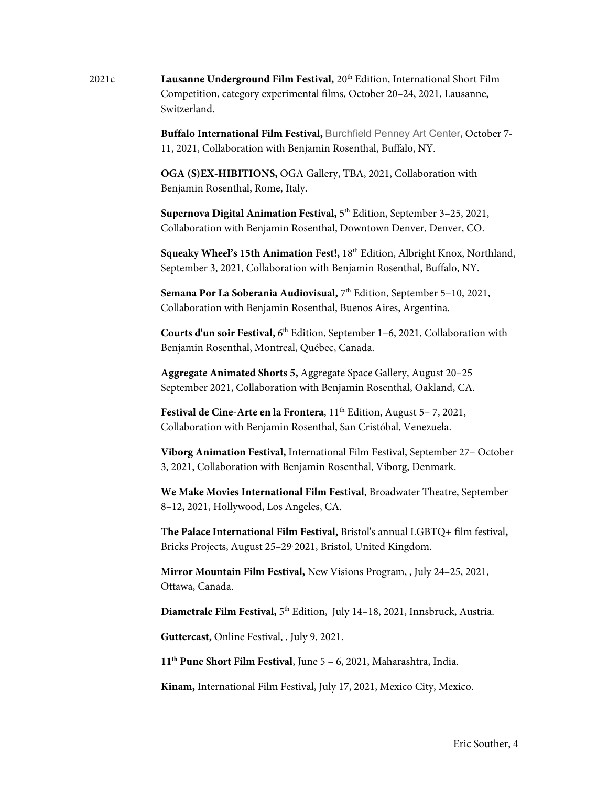2021c **Lausanne Underground Film Festival,** 20th Edition, International Short Film Competition, category experimental films, October 20–24, 2021, Lausanne, Switzerland.

> **Buffalo International Film Festival,** Burchfield Penney Art Center, October 7- 11, 2021, Collaboration with Benjamin Rosenthal, Buffalo, NY.

**OGA (S)EX-HIBITIONS,** OGA Gallery, TBA, 2021, Collaboration with Benjamin Rosenthal, Rome, Italy.

Supernova Digital Animation Festival, 5<sup>th</sup> Edition, September 3-25, 2021, Collaboration with Benjamin Rosenthal, Downtown Denver, Denver, CO.

**Squeaky Wheel's 15th Animation Fest!,** 18th Edition, Albright Knox, Northland, September 3, 2021, Collaboration with Benjamin Rosenthal, Buffalo, NY.

**Semana Por La Soberania Audiovisual,** 7th Edition, September 5–10, 2021, Collaboration with Benjamin Rosenthal, Buenos Aires, Argentina.

**Courts d'un soir Festival, 6<sup>th</sup> Edition, September 1-6, 2021, Collaboration with** Benjamin Rosenthal, Montreal, Québec, Canada.

**Aggregate Animated Shorts 5,** Aggregate Space Gallery, August 20–25 September 2021, Collaboration with Benjamin Rosenthal, Oakland, CA.

**Festival de Cine-Arte en la Frontera**,  $11<sup>th</sup>$  Edition, August 5–7, 2021, Collaboration with Benjamin Rosenthal, San Cristóbal, Venezuela.

**Viborg Animation Festival,** International Film Festival, September 27– October 3, 2021, Collaboration with Benjamin Rosenthal, Viborg, Denmark.

**We Make Movies International Film Festival**, Broadwater Theatre, September 8–12, 2021, Hollywood, Los Angeles, CA.

**The Palace International Film Festival,** Bristol's annual LGBTQ+ film festival**,**  Bricks Projects, August 25–29, 2021, Bristol, United Kingdom.

**Mirror Mountain Film Festival,** New Visions Program, , July 24–25, 2021, Ottawa, Canada.

Diametrale Film Festival, 5<sup>th</sup> Edition, July 14-18, 2021, Innsbruck, Austria.

**Guttercast,** Online Festival, , July 9, 2021.

**11th Pune Short Film Festival**, June 5 – 6, 2021, Maharashtra, India.

**Kinam,** International Film Festival, July 17, 2021, Mexico City, Mexico.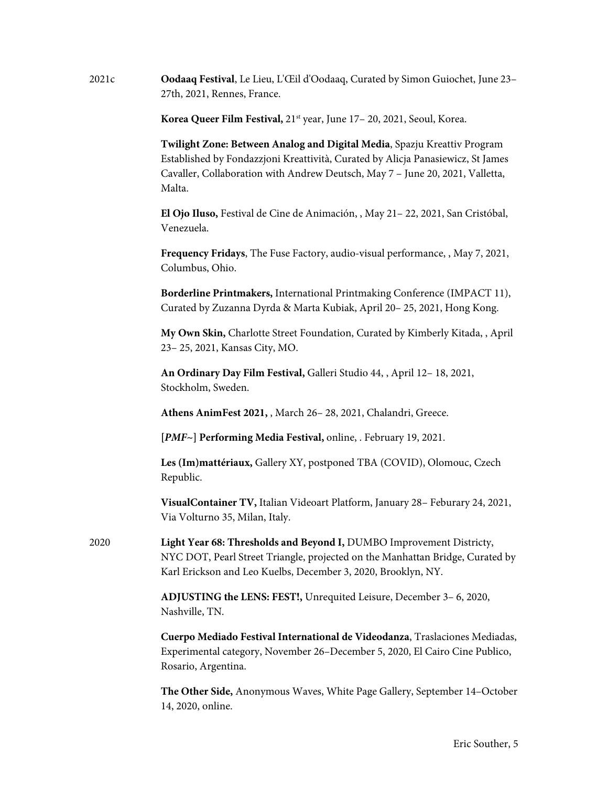| 2021c | Oodaaq Festival, Le Lieu, L'Œil d'Oodaaq, Curated by Simon Guiochet, June 23-<br>27th, 2021, Rennes, France.                                                                                                                                           |
|-------|--------------------------------------------------------------------------------------------------------------------------------------------------------------------------------------------------------------------------------------------------------|
|       | Korea Queer Film Festival, 21 <sup>st</sup> year, June 17 - 20, 2021, Seoul, Korea.                                                                                                                                                                    |
|       | Twilight Zone: Between Analog and Digital Media, Spazju Kreattiv Program<br>Established by Fondazzjoni Kreattività, Curated by Alicja Panasiewicz, St James<br>Cavaller, Collaboration with Andrew Deutsch, May 7 - June 20, 2021, Valletta,<br>Malta. |
|       | El Ojo Iluso, Festival de Cine de Animación, , May 21 – 22, 2021, San Cristóbal,<br>Venezuela.                                                                                                                                                         |
|       | <b>Frequency Fridays</b> , The Fuse Factory, audio-visual performance, , May 7, 2021,<br>Columbus, Ohio.                                                                                                                                               |
|       | Borderline Printmakers, International Printmaking Conference (IMPACT 11),<br>Curated by Zuzanna Dyrda & Marta Kubiak, April 20-25, 2021, Hong Kong.                                                                                                    |
|       | My Own Skin, Charlotte Street Foundation, Curated by Kimberly Kitada, , April<br>23-25, 2021, Kansas City, MO.                                                                                                                                         |
|       | An Ordinary Day Film Festival, Galleri Studio 44, , April 12-18, 2021,<br>Stockholm, Sweden.                                                                                                                                                           |
|       | Athens AnimFest 2021, , March 26-28, 2021, Chalandri, Greece.                                                                                                                                                                                          |
|       | [PMF~] Performing Media Festival, online, . February 19, 2021.                                                                                                                                                                                         |
|       | Les (Im)mattériaux, Gallery XY, postponed TBA (COVID), Olomouc, Czech<br>Republic.                                                                                                                                                                     |
|       | VisualContainer TV, Italian Videoart Platform, January 28- Feburary 24, 2021,<br>Via Volturno 35, Milan, Italy.                                                                                                                                        |
| 2020  | Light Year 68: Thresholds and Beyond I, DUMBO Improvement Districty,<br>NYC DOT, Pearl Street Triangle, projected on the Manhattan Bridge, Curated by<br>Karl Erickson and Leo Kuelbs, December 3, 2020, Brooklyn, NY.                                 |
|       | ADJUSTING the LENS: FEST!, Unrequited Leisure, December 3-6, 2020,<br>Nashville, TN.                                                                                                                                                                   |
|       | Cuerpo Mediado Festival International de Videodanza, Traslaciones Mediadas,<br>Experimental category, November 26-December 5, 2020, El Cairo Cine Publico,<br>Rosario, Argentina.                                                                      |
|       | The Other Side, Anonymous Waves, White Page Gallery, September 14–October<br>14, 2020, online.                                                                                                                                                         |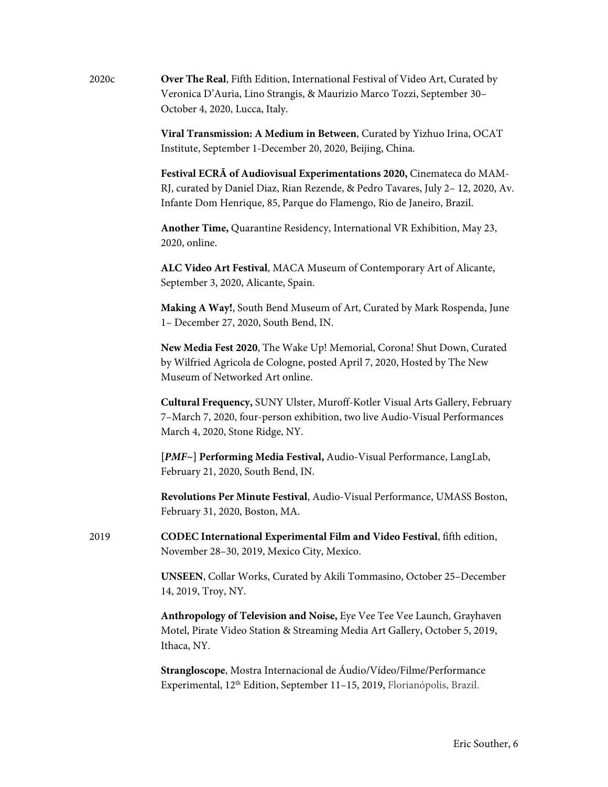| 2020c | Over The Real, Fifth Edition, International Festival of Video Art, Curated by |
|-------|-------------------------------------------------------------------------------|
|       | Veronica D'Auria, Lino Strangis, & Maurizio Marco Tozzi, September 30–        |
|       | October 4, 2020, Lucca, Italy.                                                |

**Viral Transmission: A Medium in Between**, Curated by Yizhuo Irina, OCAT Institute, September 1-December 20, 2020, Beijing, China.

**Festival ECRÃ of Audiovisual Experimentations 2020,** Cinemateca do MAM-RJ, curated by Daniel Diaz, Rian Rezende, & Pedro Tavares, July 2– 12, 2020, Av. Infante Dom Henrique, 85, Parque do Flamengo, Rio de Janeiro, Brazil.

**Another Time,** Quarantine Residency, International VR Exhibition, May 23, 2020, online.

**ALC Video Art Festival**, MACA Museum of Contemporary Art of Alicante, September 3, 2020, Alicante, Spain.

**Making A Way!**, South Bend Museum of Art, Curated by Mark Rospenda, June 1– December 27, 2020, South Bend, IN.

**New Media Fest 2020**, The Wake Up! Memorial, Corona! Shut Down, Curated by Wilfried Agricola de Cologne, posted April 7, 2020, Hosted by The New Museum of Networked Art online.

**Cultural Frequency,** SUNY Ulster, Muroff-Kotler Visual Arts Gallery, February 7–March 7, 2020, four-person exhibition, two live Audio-Visual Performances March 4, 2020, Stone Ridge, NY.

**[***PMF***~] Performing Media Festival,** Audio-Visual Performance, LangLab, February 21, 2020, South Bend, IN.

**Revolutions Per Minute Festival**, Audio-Visual Performance, UMASS Boston, February 31, 2020, Boston, MA.

2019 **CODEC International Experimental Film and Video Festival**, fifth edition, November 28–30, 2019, Mexico City, Mexico.

> **UNSEEN**, Collar Works, Curated by Akili Tommasino, October 25–December 14, 2019, Troy, NY.

**Anthropology of Television and Noise,** Eye Vee Tee Vee Launch, Grayhaven Motel, Pirate Video Station & Streaming Media Art Gallery, October 5, 2019, Ithaca, NY.

**Strangloscope**, Mostra Internacional de Áudio/Vídeo/Filme/Performance Experimental, 12<sup>th</sup> Edition, September 11-15, 2019, Florianópolis, Brazil.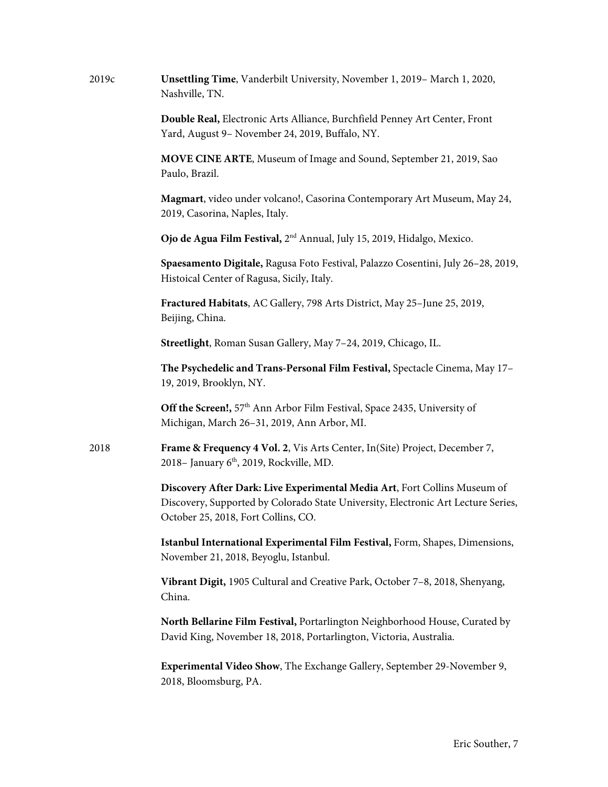| 2019c | Unsettling Time, Vanderbilt University, November 1, 2019 - March 1, 2020,<br>Nashville, TN.                                                                                                           |
|-------|-------------------------------------------------------------------------------------------------------------------------------------------------------------------------------------------------------|
|       | Double Real, Electronic Arts Alliance, Burchfield Penney Art Center, Front<br>Yard, August 9- November 24, 2019, Buffalo, NY.                                                                         |
|       | MOVE CINE ARTE, Museum of Image and Sound, September 21, 2019, Sao<br>Paulo, Brazil.                                                                                                                  |
|       | Magmart, video under volcano!, Casorina Contemporary Art Museum, May 24,<br>2019, Casorina, Naples, Italy.                                                                                            |
|       | Ojo de Agua Film Festival, 2 <sup>nd</sup> Annual, July 15, 2019, Hidalgo, Mexico.                                                                                                                    |
|       | Spaesamento Digitale, Ragusa Foto Festival, Palazzo Cosentini, July 26-28, 2019,<br>Histoical Center of Ragusa, Sicily, Italy.                                                                        |
|       | Fractured Habitats, AC Gallery, 798 Arts District, May 25-June 25, 2019,<br>Beijing, China.                                                                                                           |
|       | Streetlight, Roman Susan Gallery, May 7-24, 2019, Chicago, IL.                                                                                                                                        |
|       | The Psychedelic and Trans-Personal Film Festival, Spectacle Cinema, May 17-<br>19, 2019, Brooklyn, NY.                                                                                                |
|       | Off the Screen!, 57 <sup>th</sup> Ann Arbor Film Festival, Space 2435, University of<br>Michigan, March 26-31, 2019, Ann Arbor, MI.                                                                   |
| 2018  | Frame & Frequency 4 Vol. 2, Vis Arts Center, In(Site) Project, December 7,<br>2018– January 6 <sup>th</sup> , 2019, Rockville, MD.                                                                    |
|       | Discovery After Dark: Live Experimental Media Art, Fort Collins Museum of<br>Discovery, Supported by Colorado State University, Electronic Art Lecture Series,<br>October 25, 2018, Fort Collins, CO. |
|       | Istanbul International Experimental Film Festival, Form, Shapes, Dimensions,<br>November 21, 2018, Beyoglu, Istanbul.                                                                                 |
|       | Vibrant Digit, 1905 Cultural and Creative Park, October 7-8, 2018, Shenyang,<br>China.                                                                                                                |
|       | North Bellarine Film Festival, Portarlington Neighborhood House, Curated by<br>David King, November 18, 2018, Portarlington, Victoria, Australia.                                                     |
|       | <b>Experimental Video Show</b> , The Exchange Gallery, September 29-November 9,<br>2018, Bloomsburg, PA.                                                                                              |
|       |                                                                                                                                                                                                       |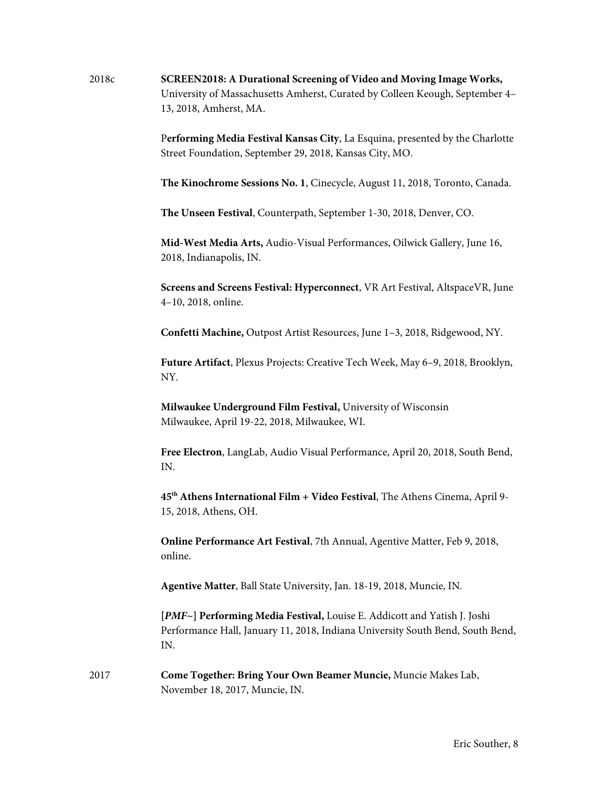2018c **SCREEN2018: A Durational Screening of Video and Moving Image Works,**  University of Massachusetts Amherst, Curated by Colleen Keough, September 4– 13, 2018, Amherst, MA.

> P**erforming Media Festival Kansas City**, La Esquina, presented by the Charlotte Street Foundation, September 29, 2018, Kansas City, MO.

> **The Kinochrome Sessions No. 1**, Cinecycle, August 11, 2018, Toronto, Canada.

 **The Unseen Festival**, Counterpath, September 1-30, 2018, Denver, CO.

**Mid-West Media Arts,** Audio-Visual Performances, Oilwick Gallery, June 16, 2018, Indianapolis, IN.

**Screens and Screens Festival: Hyperconnect**, VR Art Festival, AltspaceVR, June 4–10, 2018, online.

**Confetti Machine,** Outpost Artist Resources, June 1–3, 2018, Ridgewood, NY.

**Future Artifact**, Plexus Projects: Creative Tech Week, May 6–9, 2018, Brooklyn, NY.

**Milwaukee Underground Film Festival,** University of Wisconsin Milwaukee, April 19-22, 2018, Milwaukee, WI.

**Free Electron**, LangLab, Audio Visual Performance, April 20, 2018, South Bend, IN.

**45th Athens International Film + Video Festival**, The Athens Cinema, April 9- 15, 2018, Athens, OH.

**Online Performance Art Festival**, 7th Annual, Agentive Matter, Feb 9, 2018, online.

 **Agentive Matter**, Ball State University, Jan. 18-19, 2018, Muncie, IN.

**[***PMF***~] Performing Media Festival,** Louise E. Addicott and Yatish J. Joshi Performance Hall, January 11, 2018, Indiana University South Bend, South Bend, IN.

2017 **Come Together: Bring Your Own Beamer Muncie,** Muncie Makes Lab, November 18, 2017, Muncie, IN.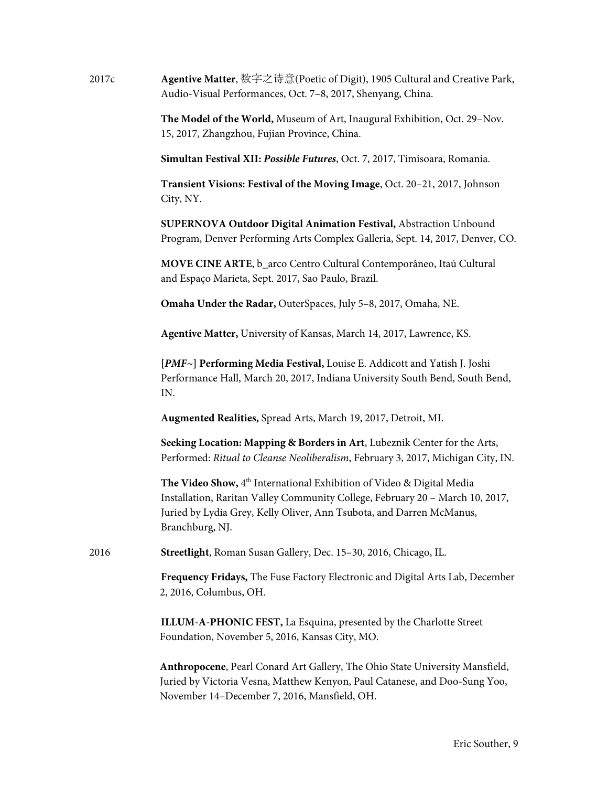2017c **Agentive Matter**, 数字之诗意(Poetic of Digit), 1905 Cultural and Creative Park, Audio-Visual Performances, Oct. 7–8, 2017, Shenyang, China.

> **The Model of the World,** Museum of Art, Inaugural Exhibition, Oct. 29–Nov. 15, 2017, Zhangzhou, Fujian Province, China.

**Simultan Festival XII:** *Possible Futures*, Oct. 7, 2017, Timisoara, Romania.

**Transient Visions: Festival of the Moving Image**, Oct. 20–21, 2017, Johnson City, NY.

**SUPERNOVA Outdoor Digital Animation Festival,** Abstraction Unbound Program, Denver Performing Arts Complex Galleria, Sept. 14, 2017, Denver, CO.

**MOVE CINE ARTE**, b\_arco Centro Cultural Contemporâneo, Itaú Cultural and Espaço Marieta, Sept. 2017, Sao Paulo, Brazil.

 **Omaha Under the Radar,** OuterSpaces, July 5–8, 2017, Omaha, NE.

 **Agentive Matter,** University of Kansas, March 14, 2017, Lawrence, KS.

**[***PMF***~] Performing Media Festival,** Louise E. Addicott and Yatish J. Joshi Performance Hall, March 20, 2017, Indiana University South Bend, South Bend, IN.

**Augmented Realities,** Spread Arts, March 19, 2017, Detroit, MI.

**Seeking Location: Mapping & Borders in Art**, Lubeznik Center for the Arts, Performed: *Ritual to Cleanse Neoliberalism*, February 3, 2017, Michigan City, IN.

The Video Show, 4<sup>th</sup> International Exhibition of Video & Digital Media Installation, Raritan Valley Community College, February 20 – March 10, 2017, Juried by Lydia Grey, Kelly Oliver, Ann Tsubota, and Darren McManus, Branchburg, NJ.

2016 **Streetlight**, Roman Susan Gallery, Dec. 15–30, 2016, Chicago, IL.

**Frequency Fridays,** The Fuse Factory Electronic and Digital Arts Lab, December 2, 2016, Columbus, OH.

**ILLUM-A-PHONIC FEST,** La Esquina, presented by the Charlotte Street Foundation, November 5, 2016, Kansas City, MO.

**Anthropocene**, Pearl Conard Art Gallery, The Ohio State University Mansfield, Juried by Victoria Vesna, Matthew Kenyon, Paul Catanese, and Doo-Sung Yoo, November 14–December 7, 2016, Mansfield, OH.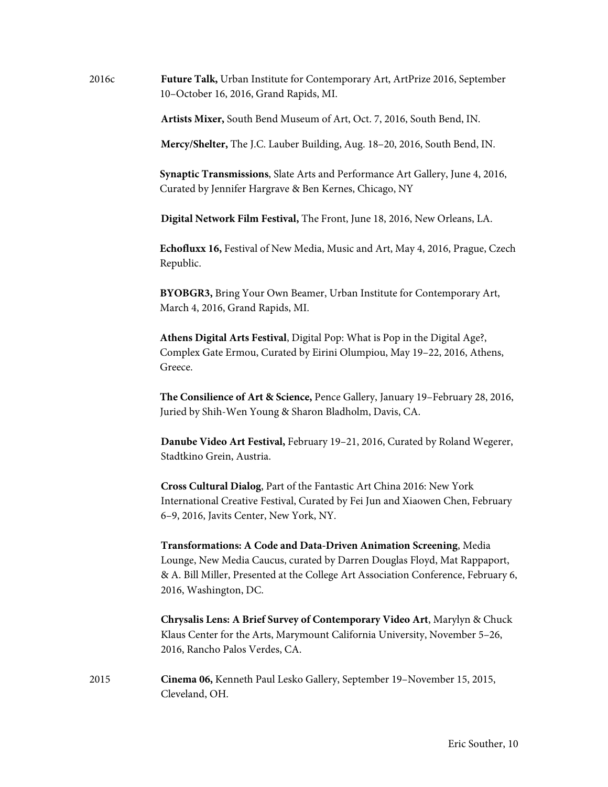2016c **Future Talk,** Urban Institute for Contemporary Art, ArtPrize 2016, September 10–October 16, 2016, Grand Rapids, MI.

**Artists Mixer,** South Bend Museum of Art, Oct. 7, 2016, South Bend, IN.

**Mercy/Shelter,** The J.C. Lauber Building, Aug. 18–20, 2016, South Bend, IN.

**Synaptic Transmissions**, Slate Arts and Performance Art Gallery, June 4, 2016, Curated by Jennifer Hargrave & Ben Kernes, Chicago, NY

**Digital Network Film Festival,** The Front, June 18, 2016, New Orleans, LA.

**Echofluxx 16,** Festival of New Media, Music and Art, May 4, 2016, Prague, Czech Republic.

**BYOBGR3,** Bring Your Own Beamer, Urban Institute for Contemporary Art, March 4, 2016, Grand Rapids, MI.

**Athens Digital Arts Festival**, Digital Pop: What is Pop in the Digital Age?, Complex Gate Ermou, Curated by Eirini Olumpiou, May 19–22, 2016, Athens, Greece.

**The Consilience of Art & Science,** Pence Gallery, January 19–February 28, 2016, Juried by Shih-Wen Young & Sharon Bladholm, Davis, CA.

**Danube Video Art Festival,** February 19–21, 2016, Curated by Roland Wegerer, Stadtkino Grein, Austria.

**Cross Cultural Dialog**, Part of the Fantastic Art China 2016: New York International Creative Festival, Curated by Fei Jun and Xiaowen Chen, February 6–9, 2016, Javits Center, New York, NY.

**Transformations: A Code and Data-Driven Animation Screening**, Media Lounge, New Media Caucus, curated by Darren Douglas Floyd, Mat Rappaport, & A. Bill Miller, Presented at the College Art Association Conference, February 6, 2016, Washington, DC.

**Chrysalis Lens: A Brief Survey of Contemporary Video Art**, Marylyn & Chuck Klaus Center for the Arts, Marymount California University, November 5–26, 2016, Rancho Palos Verdes, CA.

2015 **Cinema 06,** Kenneth Paul Lesko Gallery, September 19–November 15, 2015, Cleveland, OH.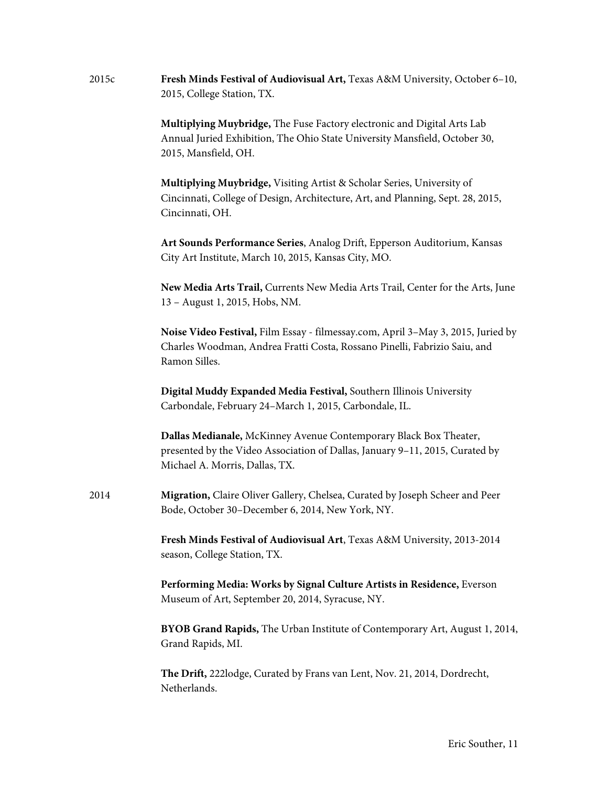| 2015c | Fresh Minds Festival of Audiovisual Art, Texas A&M University, October 6-10,<br>2015, College Station, TX.                                                                          |
|-------|-------------------------------------------------------------------------------------------------------------------------------------------------------------------------------------|
|       | Multiplying Muybridge, The Fuse Factory electronic and Digital Arts Lab<br>Annual Juried Exhibition, The Ohio State University Mansfield, October 30,<br>2015, Mansfield, OH.       |
|       | Multiplying Muybridge, Visiting Artist & Scholar Series, University of<br>Cincinnati, College of Design, Architecture, Art, and Planning, Sept. 28, 2015,<br>Cincinnati, OH.        |
|       | Art Sounds Performance Series, Analog Drift, Epperson Auditorium, Kansas<br>City Art Institute, March 10, 2015, Kansas City, MO.                                                    |
|       | New Media Arts Trail, Currents New Media Arts Trail, Center for the Arts, June<br>13 - August 1, 2015, Hobs, NM.                                                                    |
|       | Noise Video Festival, Film Essay - filmessay.com, April 3-May 3, 2015, Juried by<br>Charles Woodman, Andrea Fratti Costa, Rossano Pinelli, Fabrizio Saiu, and<br>Ramon Silles.      |
|       | Digital Muddy Expanded Media Festival, Southern Illinois University<br>Carbondale, February 24-March 1, 2015, Carbondale, IL.                                                       |
|       | Dallas Medianale, McKinney Avenue Contemporary Black Box Theater,<br>presented by the Video Association of Dallas, January 9-11, 2015, Curated by<br>Michael A. Morris, Dallas, TX. |
| 2014  | Migration, Claire Oliver Gallery, Chelsea, Curated by Joseph Scheer and Peer<br>Bode, October 30-December 6, 2014, New York, NY.                                                    |
|       | Fresh Minds Festival of Audiovisual Art, Texas A&M University, 2013-2014<br>season, College Station, TX.                                                                            |
|       | Performing Media: Works by Signal Culture Artists in Residence, Everson<br>Museum of Art, September 20, 2014, Syracuse, NY.                                                         |
|       | BYOB Grand Rapids, The Urban Institute of Contemporary Art, August 1, 2014,<br>Grand Rapids, MI.                                                                                    |
|       | The Drift, 222lodge, Curated by Frans van Lent, Nov. 21, 2014, Dordrecht,<br>Netherlands.                                                                                           |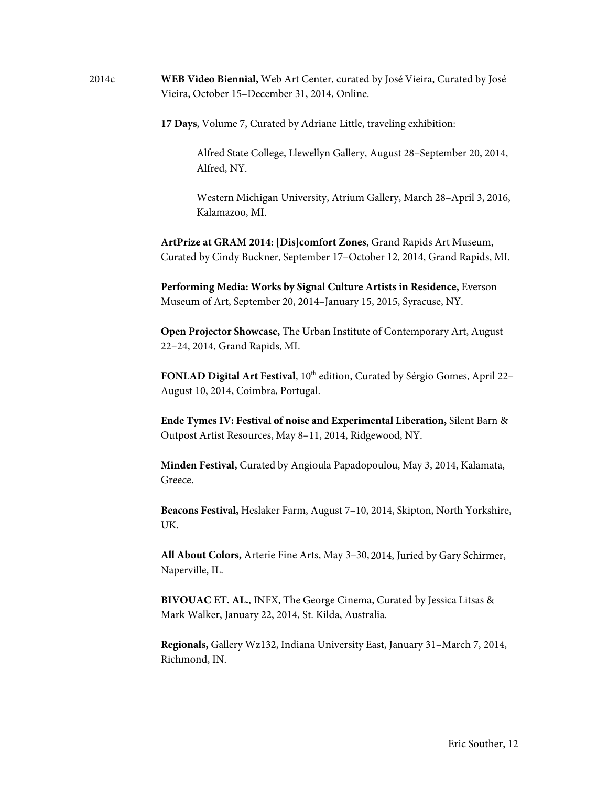2014c **WEB Video Biennial,** Web Art Center, curated by José Vieira, Curated by José Vieira, October 15–December 31, 2014, Online.

**17 Days**, Volume 7, Curated by Adriane Little, traveling exhibition:

Alfred State College, Llewellyn Gallery, August 28–September 20, 2014, Alfred, NY.

Western Michigan University, Atrium Gallery, March 28–April 3, 2016, Kalamazoo, MI.

**ArtPrize at GRAM 2014:** [**Dis]comfort Zones**, Grand Rapids Art Museum, Curated by Cindy Buckner, September 17–October 12, 2014, Grand Rapids, MI.

**Performing Media: Works by Signal Culture Artists in Residence,** Everson Museum of Art, September 20, 2014–January 15, 2015, Syracuse, NY.

**Open Projector Showcase,** The Urban Institute of Contemporary Art, August 22–24, 2014, Grand Rapids, MI.

**FONLAD Digital Art Festival**, 10<sup>th</sup> edition, Curated by Sérgio Gomes, April 22– August 10, 2014, Coimbra, Portugal.

**Ende Tymes IV: Festival of noise and Experimental Liberation,** Silent Barn & Outpost Artist Resources, May 8–11, 2014, Ridgewood, NY.

**Minden Festival,** Curated by Angioula Papadopoulou, May 3, 2014, Kalamata, Greece.

**Beacons Festival,** Heslaker Farm, August 7–10, 2014, Skipton, North Yorkshire, UK.

**All About Colors,** Arterie Fine Arts, May 3–30, 2014, Juried by Gary Schirmer, Naperville, IL.

**BIVOUAC ET. AL.**, INFX, The George Cinema, Curated by Jessica Litsas & Mark Walker, January 22, 2014, St. Kilda, Australia.

**Regionals,** Gallery Wz132, Indiana University East, January 31–March 7, 2014, Richmond, IN.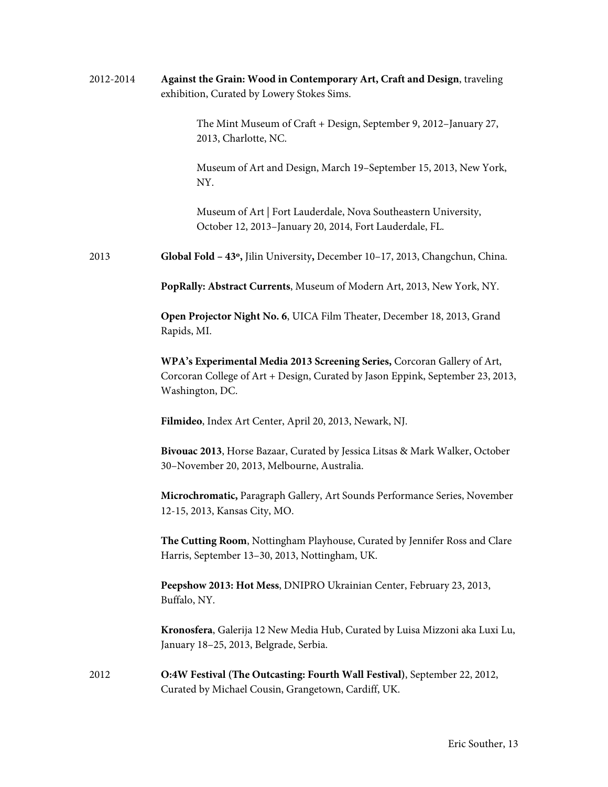| 2012-2014 | Against the Grain: Wood in Contemporary Art, Craft and Design, traveling<br>exhibition, Curated by Lowery Stokes Sims.                                                        |
|-----------|-------------------------------------------------------------------------------------------------------------------------------------------------------------------------------|
|           | The Mint Museum of Craft + Design, September 9, 2012-January 27,<br>2013, Charlotte, NC.                                                                                      |
|           | Museum of Art and Design, March 19-September 15, 2013, New York,<br>NY.                                                                                                       |
|           | Museum of Art   Fort Lauderdale, Nova Southeastern University,<br>October 12, 2013-January 20, 2014, Fort Lauderdale, FL.                                                     |
| 2013      | Global Fold - 43°, Jilin University, December 10-17, 2013, Changchun, China.                                                                                                  |
|           | PopRally: Abstract Currents, Museum of Modern Art, 2013, New York, NY.                                                                                                        |
|           | Open Projector Night No. 6, UICA Film Theater, December 18, 2013, Grand<br>Rapids, MI.                                                                                        |
|           | WPA's Experimental Media 2013 Screening Series, Corcoran Gallery of Art,<br>Corcoran College of Art + Design, Curated by Jason Eppink, September 23, 2013,<br>Washington, DC. |
|           | Filmideo, Index Art Center, April 20, 2013, Newark, NJ.                                                                                                                       |
|           | Bivouac 2013, Horse Bazaar, Curated by Jessica Litsas & Mark Walker, October<br>30-November 20, 2013, Melbourne, Australia.                                                   |
|           | Microchromatic, Paragraph Gallery, Art Sounds Performance Series, November<br>12-15, 2013, Kansas City, MO.                                                                   |
|           | The Cutting Room, Nottingham Playhouse, Curated by Jennifer Ross and Clare<br>Harris, September 13-30, 2013, Nottingham, UK.                                                  |
|           | Peepshow 2013: Hot Mess, DNIPRO Ukrainian Center, February 23, 2013,<br>Buffalo, NY.                                                                                          |
|           | Kronosfera, Galerija 12 New Media Hub, Curated by Luisa Mizzoni aka Luxi Lu,<br>January 18-25, 2013, Belgrade, Serbia.                                                        |
| 2012      | O:4W Festival (The Outcasting: Fourth Wall Festival), September 22, 2012,<br>Curated by Michael Cousin, Grangetown, Cardiff, UK.                                              |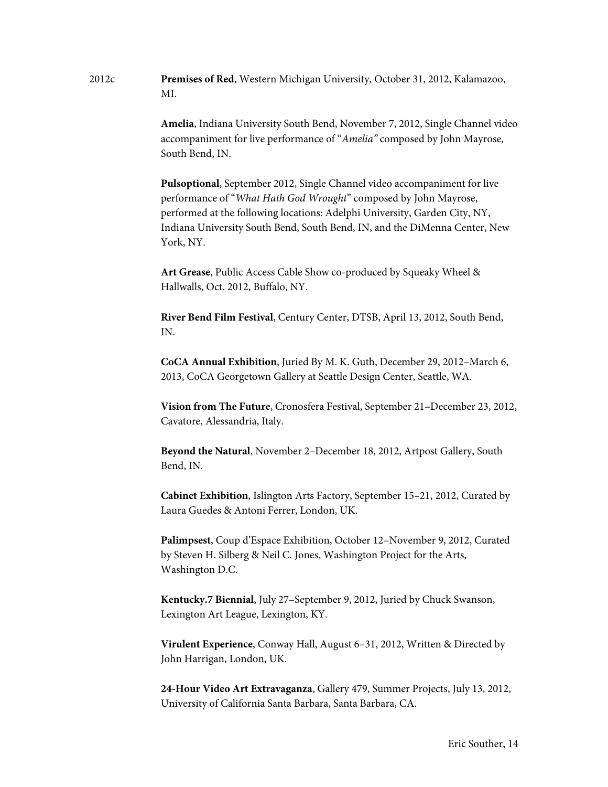2012c **Premises of Red**, Western Michigan University, October 31, 2012, Kalamazoo, MI.

> **Amelia**, Indiana University South Bend, November 7, 2012, Single Channel video accompaniment for live performance of "*Amelia"* composed by John Mayrose, South Bend, IN.

**Pulsoptional**, September 2012, Single Channel video accompaniment for live performance of "*What Hath God Wrought*" composed by John Mayrose, performed at the following locations: Adelphi University, Garden City, NY, Indiana University South Bend, South Bend, IN, and the DiMenna Center, New York, NY.

**Art Grease**, Public Access Cable Show co-produced by Squeaky Wheel & Hallwalls, Oct. 2012, Buffalo, NY.

**River Bend Film Festival**, Century Center, DTSB, April 13, 2012, South Bend, IN.

**CoCA Annual Exhibition**, Juried By M. K. Guth, December 29, 2012–March 6, 2013, CoCA Georgetown Gallery at Seattle Design Center, Seattle, WA.

**Vision from The Future**, Cronosfera Festival, September 21–December 23, 2012, Cavatore, Alessandria, Italy.

**Beyond the Natural**, November 2–December 18, 2012, Artpost Gallery, South Bend, IN.

**Cabinet Exhibition**, Islington Arts Factory, September 15–21, 2012, Curated by Laura Guedes & Antoni Ferrer, London, UK.

**Palimpsest**, Coup d'Espace Exhibition, October 12–November 9, 2012, Curated by Steven H. Silberg & Neil C. Jones, Washington Project for the Arts, Washington D.C.

**Kentucky.7 Biennial**, July 27–September 9, 2012, Juried by Chuck Swanson, Lexington Art League, Lexington, KY.

**Virulent Experience**, Conway Hall, August 6–31, 2012, Written & Directed by John Harrigan, London, UK.

**24-Hour Video Art Extravaganza**, Gallery 479, Summer Projects, July 13, 2012, University of California Santa Barbara, Santa Barbara, CA.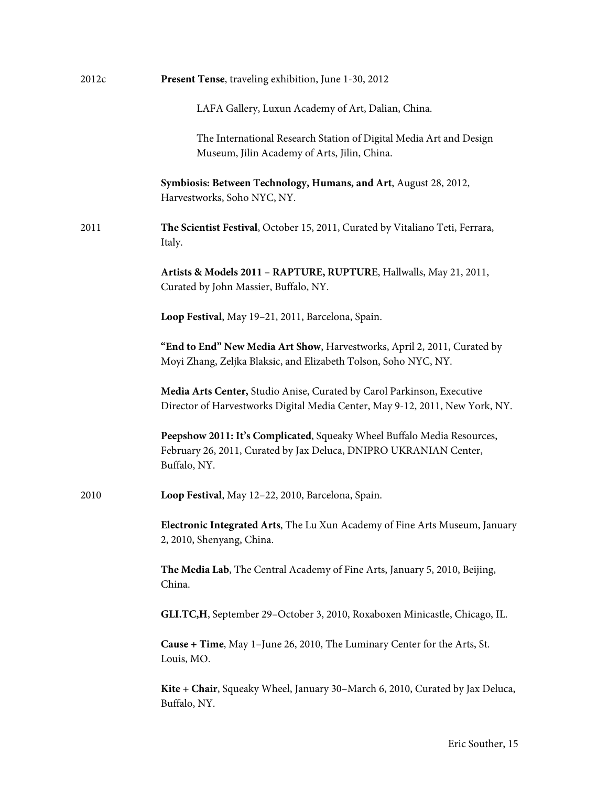| Present Tense, traveling exhibition, June 1-30, 2012                                                                                                         |
|--------------------------------------------------------------------------------------------------------------------------------------------------------------|
| LAFA Gallery, Luxun Academy of Art, Dalian, China.                                                                                                           |
| The International Research Station of Digital Media Art and Design<br>Museum, Jilin Academy of Arts, Jilin, China.                                           |
| Symbiosis: Between Technology, Humans, and Art, August 28, 2012,<br>Harvestworks, Soho NYC, NY.                                                              |
| The Scientist Festival, October 15, 2011, Curated by Vitaliano Teti, Ferrara,<br>Italy.                                                                      |
| Artists & Models 2011 - RAPTURE, RUPTURE, Hallwalls, May 21, 2011,<br>Curated by John Massier, Buffalo, NY.                                                  |
| Loop Festival, May 19-21, 2011, Barcelona, Spain.                                                                                                            |
| "End to End" New Media Art Show, Harvestworks, April 2, 2011, Curated by<br>Moyi Zhang, Zeljka Blaksic, and Elizabeth Tolson, Soho NYC, NY.                  |
| Media Arts Center, Studio Anise, Curated by Carol Parkinson, Executive<br>Director of Harvestworks Digital Media Center, May 9-12, 2011, New York, NY.       |
| Peepshow 2011: It's Complicated, Squeaky Wheel Buffalo Media Resources,<br>February 26, 2011, Curated by Jax Deluca, DNIPRO UKRANIAN Center,<br>Buffalo, NY. |
| Loop Festival, May 12-22, 2010, Barcelona, Spain.                                                                                                            |
| Electronic Integrated Arts, The Lu Xun Academy of Fine Arts Museum, January<br>2, 2010, Shenyang, China.                                                     |
| The Media Lab, The Central Academy of Fine Arts, January 5, 2010, Beijing,<br>China.                                                                         |
| GLI.TC,H, September 29-October 3, 2010, Roxaboxen Minicastle, Chicago, IL.                                                                                   |
| Cause + Time, May 1-June 26, 2010, The Luminary Center for the Arts, St.<br>Louis, MO.                                                                       |
| Kite + Chair, Squeaky Wheel, January 30–March 6, 2010, Curated by Jax Deluca,<br>Buffalo, NY.                                                                |
|                                                                                                                                                              |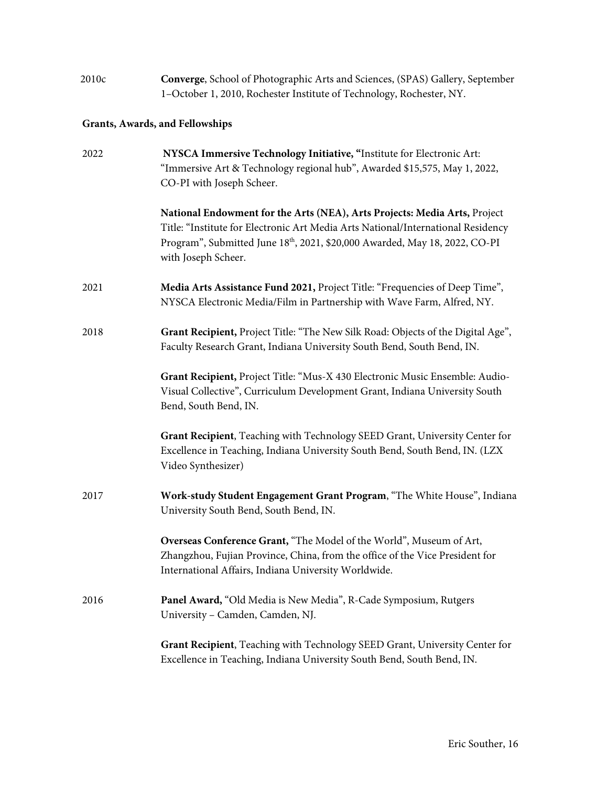| 2010c | <b>Converge, School of Photographic Arts and Sciences, (SPAS) Gallery, September</b> |
|-------|--------------------------------------------------------------------------------------|
|       | 1–October 1, 2010, Rochester Institute of Technology, Rochester, NY.                 |

# **Grants, Awards, and Fellowships**

| 2022 | NYSCA Immersive Technology Initiative, "Institute for Electronic Art:<br>"Immersive Art & Technology regional hub", Awarded \$15,575, May 1, 2022,<br>CO-PI with Joseph Scheer.                                                                                    |
|------|--------------------------------------------------------------------------------------------------------------------------------------------------------------------------------------------------------------------------------------------------------------------|
|      | National Endowment for the Arts (NEA), Arts Projects: Media Arts, Project<br>Title: "Institute for Electronic Art Media Arts National/International Residency<br>Program", Submitted June 18th, 2021, \$20,000 Awarded, May 18, 2022, CO-PI<br>with Joseph Scheer. |
| 2021 | Media Arts Assistance Fund 2021, Project Title: "Frequencies of Deep Time",<br>NYSCA Electronic Media/Film in Partnership with Wave Farm, Alfred, NY.                                                                                                              |
| 2018 | Grant Recipient, Project Title: "The New Silk Road: Objects of the Digital Age",<br>Faculty Research Grant, Indiana University South Bend, South Bend, IN.                                                                                                         |
|      | Grant Recipient, Project Title: "Mus-X 430 Electronic Music Ensemble: Audio-<br>Visual Collective", Curriculum Development Grant, Indiana University South<br>Bend, South Bend, IN.                                                                                |
|      | Grant Recipient, Teaching with Technology SEED Grant, University Center for<br>Excellence in Teaching, Indiana University South Bend, South Bend, IN. (LZX<br>Video Synthesizer)                                                                                   |
| 2017 | Work-study Student Engagement Grant Program, "The White House", Indiana<br>University South Bend, South Bend, IN.                                                                                                                                                  |
|      | Overseas Conference Grant, "The Model of the World", Museum of Art,<br>Zhangzhou, Fujian Province, China, from the office of the Vice President for<br>International Affairs, Indiana University Worldwide.                                                        |
| 2016 | Panel Award, "Old Media is New Media", R-Cade Symposium, Rutgers<br>University - Camden, Camden, NJ.                                                                                                                                                               |
|      | Grant Recipient, Teaching with Technology SEED Grant, University Center for<br>Excellence in Teaching, Indiana University South Bend, South Bend, IN.                                                                                                              |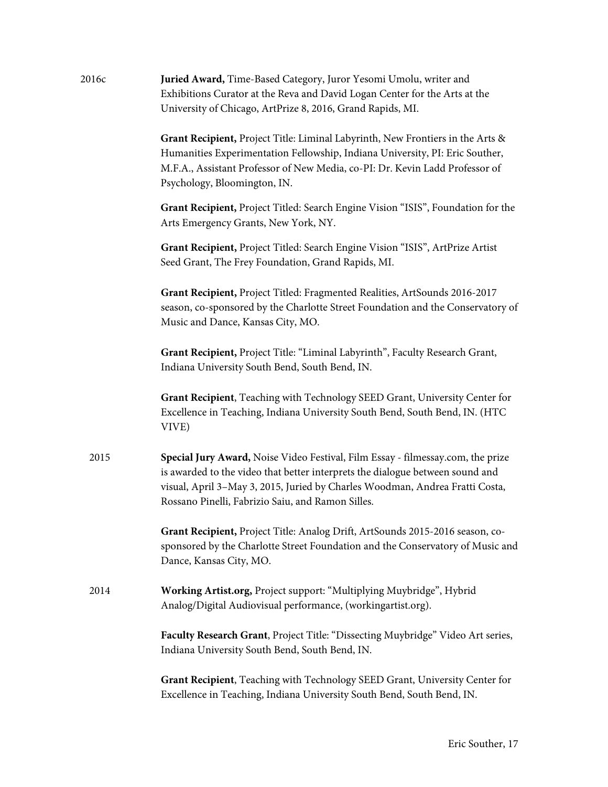| 2016c | Juried Award, Time-Based Category, Juror Yesomi Umolu, writer and<br>Exhibitions Curator at the Reva and David Logan Center for the Arts at the<br>University of Chicago, ArtPrize 8, 2016, Grand Rapids, MI.                                                                                         |
|-------|-------------------------------------------------------------------------------------------------------------------------------------------------------------------------------------------------------------------------------------------------------------------------------------------------------|
|       | Grant Recipient, Project Title: Liminal Labyrinth, New Frontiers in the Arts &<br>Humanities Experimentation Fellowship, Indiana University, PI: Eric Souther,<br>M.F.A., Assistant Professor of New Media, co-PI: Dr. Kevin Ladd Professor of<br>Psychology, Bloomington, IN.                        |
|       | Grant Recipient, Project Titled: Search Engine Vision "ISIS", Foundation for the<br>Arts Emergency Grants, New York, NY.                                                                                                                                                                              |
|       | Grant Recipient, Project Titled: Search Engine Vision "ISIS", ArtPrize Artist<br>Seed Grant, The Frey Foundation, Grand Rapids, MI.                                                                                                                                                                   |
|       | Grant Recipient, Project Titled: Fragmented Realities, ArtSounds 2016-2017<br>season, co-sponsored by the Charlotte Street Foundation and the Conservatory of<br>Music and Dance, Kansas City, MO.                                                                                                    |
|       | Grant Recipient, Project Title: "Liminal Labyrinth", Faculty Research Grant,<br>Indiana University South Bend, South Bend, IN.                                                                                                                                                                        |
|       | Grant Recipient, Teaching with Technology SEED Grant, University Center for<br>Excellence in Teaching, Indiana University South Bend, South Bend, IN. (HTC<br>VIVE)                                                                                                                                   |
| 2015  | Special Jury Award, Noise Video Festival, Film Essay - filmessay.com, the prize<br>is awarded to the video that better interprets the dialogue between sound and<br>visual, April 3-May 3, 2015, Juried by Charles Woodman, Andrea Fratti Costa,<br>Rossano Pinelli, Fabrizio Saiu, and Ramon Silles. |
|       | Grant Recipient, Project Title: Analog Drift, ArtSounds 2015-2016 season, co-<br>sponsored by the Charlotte Street Foundation and the Conservatory of Music and<br>Dance, Kansas City, MO.                                                                                                            |
| 2014  | Working Artist.org, Project support: "Multiplying Muybridge", Hybrid<br>Analog/Digital Audiovisual performance, (workingartist.org).                                                                                                                                                                  |
|       | Faculty Research Grant, Project Title: "Dissecting Muybridge" Video Art series,<br>Indiana University South Bend, South Bend, IN.                                                                                                                                                                     |
|       | Grant Recipient, Teaching with Technology SEED Grant, University Center for<br>Excellence in Teaching, Indiana University South Bend, South Bend, IN.                                                                                                                                                 |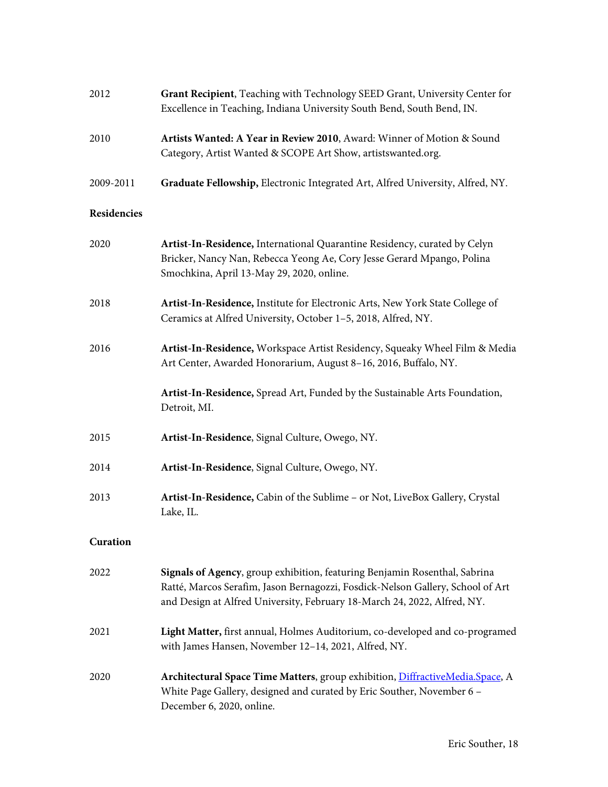| 2012        | Grant Recipient, Teaching with Technology SEED Grant, University Center for<br>Excellence in Teaching, Indiana University South Bend, South Bend, IN.                                                                                    |
|-------------|------------------------------------------------------------------------------------------------------------------------------------------------------------------------------------------------------------------------------------------|
| 2010        | Artists Wanted: A Year in Review 2010, Award: Winner of Motion & Sound<br>Category, Artist Wanted & SCOPE Art Show, artistswanted.org.                                                                                                   |
| 2009-2011   | Graduate Fellowship, Electronic Integrated Art, Alfred University, Alfred, NY.                                                                                                                                                           |
| Residencies |                                                                                                                                                                                                                                          |
| 2020        | Artist-In-Residence, International Quarantine Residency, curated by Celyn<br>Bricker, Nancy Nan, Rebecca Yeong Ae, Cory Jesse Gerard Mpango, Polina<br>Smochkina, April 13-May 29, 2020, online.                                         |
| 2018        | Artist-In-Residence, Institute for Electronic Arts, New York State College of<br>Ceramics at Alfred University, October 1-5, 2018, Alfred, NY.                                                                                           |
| 2016        | Artist-In-Residence, Workspace Artist Residency, Squeaky Wheel Film & Media<br>Art Center, Awarded Honorarium, August 8-16, 2016, Buffalo, NY.                                                                                           |
|             | Artist-In-Residence, Spread Art, Funded by the Sustainable Arts Foundation,<br>Detroit, MI.                                                                                                                                              |
| 2015        | Artist-In-Residence, Signal Culture, Owego, NY.                                                                                                                                                                                          |
| 2014        | Artist-In-Residence, Signal Culture, Owego, NY.                                                                                                                                                                                          |
| 2013        | Artist-In-Residence, Cabin of the Sublime - or Not, LiveBox Gallery, Crystal<br>Lake, IL.                                                                                                                                                |
| Curation    |                                                                                                                                                                                                                                          |
| 2022        | Signals of Agency, group exhibition, featuring Benjamin Rosenthal, Sabrina<br>Ratté, Marcos Serafim, Jason Bernagozzi, Fosdick-Nelson Gallery, School of Art<br>and Design at Alfred University, February 18-March 24, 2022, Alfred, NY. |
| 2021        | Light Matter, first annual, Holmes Auditorium, co-developed and co-programed<br>with James Hansen, November 12-14, 2021, Alfred, NY.                                                                                                     |
| 2020        | Architectural Space Time Matters, group exhibition, DiffractiveMedia.Space, A<br>White Page Gallery, designed and curated by Eric Souther, November 6 -<br>December 6, 2020, online.                                                     |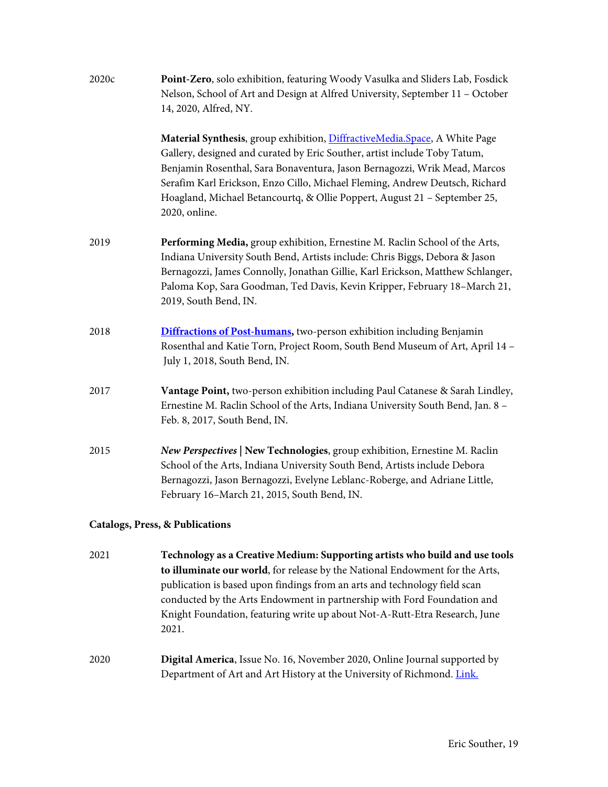| 2020c | Point-Zero, solo exhibition, featuring Woody Vasulka and Sliders Lab, Fosdick<br>Nelson, School of Art and Design at Alfred University, September 11 - October<br>14, 2020, Alfred, NY.                                                                                                                                                                                                                           |
|-------|-------------------------------------------------------------------------------------------------------------------------------------------------------------------------------------------------------------------------------------------------------------------------------------------------------------------------------------------------------------------------------------------------------------------|
|       | Material Synthesis, group exhibition, DiffractiveMedia.Space, A White Page<br>Gallery, designed and curated by Eric Souther, artist include Toby Tatum,<br>Benjamin Rosenthal, Sara Bonaventura, Jason Bernagozzi, Wrik Mead, Marcos<br>Serafim Karl Erickson, Enzo Cillo, Michael Fleming, Andrew Deutsch, Richard<br>Hoagland, Michael Betancourtq, & Ollie Poppert, August 21 - September 25,<br>2020, online. |
| 2019  | Performing Media, group exhibition, Ernestine M. Raclin School of the Arts,<br>Indiana University South Bend, Artists include: Chris Biggs, Debora & Jason<br>Bernagozzi, James Connolly, Jonathan Gillie, Karl Erickson, Matthew Schlanger,<br>Paloma Kop, Sara Goodman, Ted Davis, Kevin Kripper, February 18-March 21,<br>2019, South Bend, IN.                                                                |
| 2018  | <b>Diffractions of Post-humans</b> , two-person exhibition including Benjamin<br>Rosenthal and Katie Torn, Project Room, South Bend Museum of Art, April 14 -<br>July 1, 2018, South Bend, IN.                                                                                                                                                                                                                    |
| 2017  | Vantage Point, two-person exhibition including Paul Catanese & Sarah Lindley,<br>Ernestine M. Raclin School of the Arts, Indiana University South Bend, Jan. 8 -<br>Feb. 8, 2017, South Bend, IN.                                                                                                                                                                                                                 |
| 2015  | New Perspectives   New Technologies, group exhibition, Ernestine M. Raclin<br>School of the Arts, Indiana University South Bend, Artists include Debora<br>Bernagozzi, Jason Bernagozzi, Evelyne Leblanc-Roberge, and Adriane Little,<br>February 16-March 21, 2015, South Bend, IN.                                                                                                                              |
|       | <b>Catalogs, Press, &amp; Publications</b>                                                                                                                                                                                                                                                                                                                                                                        |
| 2021  | Technology as a Creative Medium: Supporting artists who build and use tools<br>to illuminate our world for release by the National Endowment for the Arts                                                                                                                                                                                                                                                         |

- **to illuminate our world**, for release by the National Endowment for the Arts, publication is based upon findings from an arts and technology field scan conducted by the Arts Endowment in partnership with Ford Foundation and Knight Foundation, featuring write up about Not-A-Rutt-Etra Research, June 2021.
- 2020 **Digital America**, Issue No. 16, November 2020, Online Journal supported by Department of Art and Art History at the University of Richmond. [Link.](https://www.digitalamerica.org/issue-no-16/)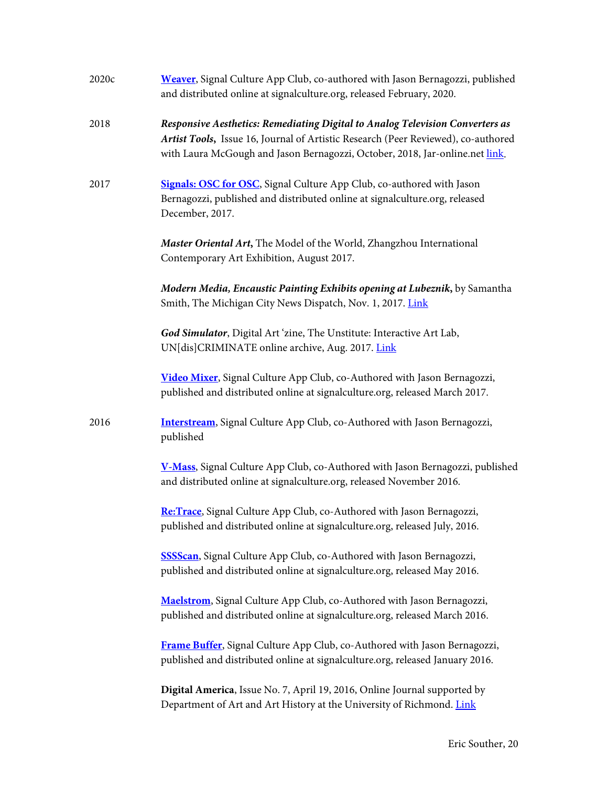| 2020c | Weaver, Signal Culture App Club, co-authored with Jason Bernagozzi, published<br>and distributed online at signalculture.org, released February, 2020.                                                                                             |
|-------|----------------------------------------------------------------------------------------------------------------------------------------------------------------------------------------------------------------------------------------------------|
| 2018  | Responsive Aesthetics: Remediating Digital to Analog Television Converters as<br>Artist Tools, Issue 16, Journal of Artistic Research (Peer Reviewed), co-authored<br>with Laura McGough and Jason Bernagozzi, October, 2018, Jar-online.net link. |
| 2017  | Signals: OSC for OSC, Signal Culture App Club, co-authored with Jason<br>Bernagozzi, published and distributed online at signalculture.org, released<br>December, 2017.                                                                            |
|       | Master Oriental Art, The Model of the World, Zhangzhou International<br>Contemporary Art Exhibition, August 2017.                                                                                                                                  |
|       | Modern Media, Encaustic Painting Exhibits opening at Lubeznik, by Samantha<br>Smith, The Michigan City News Dispatch, Nov. 1, 2017. Link                                                                                                           |
|       | God Simulator, Digital Art 'zine, The Unstitute: Interactive Art Lab,<br>UN[dis]CRIMINATE online archive, Aug. 2017. Link                                                                                                                          |
|       | Video Mixer, Signal Culture App Club, co-Authored with Jason Bernagozzi,<br>published and distributed online at signalculture.org, released March 2017.                                                                                            |
| 2016  | Interstream, Signal Culture App Club, co-Authored with Jason Bernagozzi,<br>published                                                                                                                                                              |
|       | V-Mass, Signal Culture App Club, co-Authored with Jason Bernagozzi, published<br>and distributed online at signalculture.org, released November 2016.                                                                                              |
|       | Re: Trace, Signal Culture App Club, co-Authored with Jason Bernagozzi,<br>published and distributed online at signalculture.org, released July, 2016.                                                                                              |
|       | <b>SSSScan</b> , Signal Culture App Club, co-Authored with Jason Bernagozzi,<br>published and distributed online at signalculture.org, released May 2016.                                                                                          |
|       | Maelstrom, Signal Culture App Club, co-Authored with Jason Bernagozzi,<br>published and distributed online at signalculture.org, released March 2016.                                                                                              |
|       | Frame Buffer, Signal Culture App Club, co-Authored with Jason Bernagozzi,<br>published and distributed online at signalculture.org, released January 2016.                                                                                         |
|       | Digital America, Issue No. 7, April 19, 2016, Online Journal supported by<br>Department of Art and Art History at the University of Richmond. Link                                                                                                 |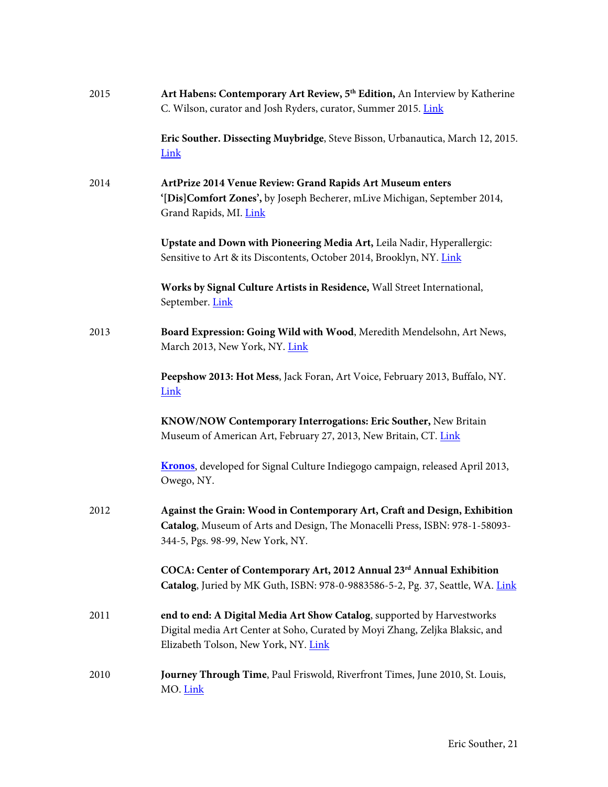| 2015 | Art Habens: Contemporary Art Review, 5 <sup>th</sup> Edition, An Interview by Katherine<br>C. Wilson, curator and Josh Ryders, curator, Summer 2015. Link                                       |
|------|-------------------------------------------------------------------------------------------------------------------------------------------------------------------------------------------------|
|      | Eric Souther. Dissecting Muybridge, Steve Bisson, Urbanautica, March 12, 2015.<br>Link                                                                                                          |
| 2014 | ArtPrize 2014 Venue Review: Grand Rapids Art Museum enters<br>'[Dis]Comfort Zones', by Joseph Becherer, mLive Michigan, September 2014,<br>Grand Rapids, MI. Link                               |
|      | Upstate and Down with Pioneering Media Art, Leila Nadir, Hyperallergic:<br>Sensitive to Art & its Discontents, October 2014, Brooklyn, NY. Link                                                 |
|      | Works by Signal Culture Artists in Residence, Wall Street International,<br>September. Link                                                                                                     |
| 2013 | Board Expression: Going Wild with Wood, Meredith Mendelsohn, Art News,<br>March 2013, New York, NY. Link                                                                                        |
|      | Peepshow 2013: Hot Mess, Jack Foran, Art Voice, February 2013, Buffalo, NY.<br>Link                                                                                                             |
|      | KNOW/NOW Contemporary Interrogations: Eric Souther, New Britain<br>Museum of American Art, February 27, 2013, New Britain, CT. Link                                                             |
|      | Kronos, developed for Signal Culture Indiegogo campaign, released April 2013,<br>Owego, NY.                                                                                                     |
| 2012 | Against the Grain: Wood in Contemporary Art, Craft and Design, Exhibition<br>Catalog, Museum of Arts and Design, The Monacelli Press, ISBN: 978-1-58093-<br>344-5, Pgs. 98-99, New York, NY.    |
|      | COCA: Center of Contemporary Art, 2012 Annual 23rd Annual Exhibition<br>Catalog, Juried by MK Guth, ISBN: 978-0-9883586-5-2, Pg. 37, Seattle, WA. Link                                          |
| 2011 | end to end: A Digital Media Art Show Catalog, supported by Harvestworks<br>Digital media Art Center at Soho, Curated by Moyi Zhang, Zeljka Blaksic, and<br>Elizabeth Tolson, New York, NY. Link |
| 2010 | Journey Through Time, Paul Friswold, Riverfront Times, June 2010, St. Louis,<br>MO. Link                                                                                                        |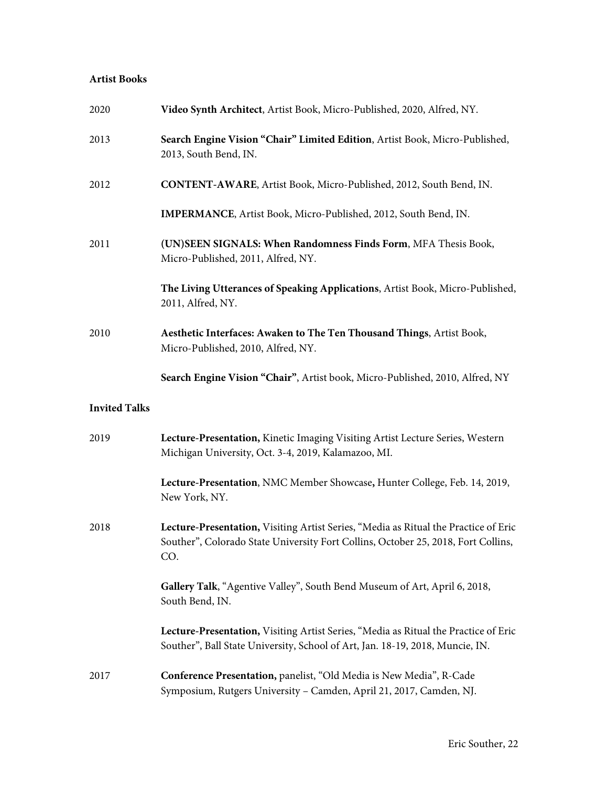#### **Artist Books**

| 2020                 | Video Synth Architect, Artist Book, Micro-Published, 2020, Alfred, NY.                                                                                                          |
|----------------------|---------------------------------------------------------------------------------------------------------------------------------------------------------------------------------|
| 2013                 | Search Engine Vision "Chair" Limited Edition, Artist Book, Micro-Published,<br>2013, South Bend, IN.                                                                            |
| 2012                 | CONTENT-AWARE, Artist Book, Micro-Published, 2012, South Bend, IN.                                                                                                              |
|                      | IMPERMANCE, Artist Book, Micro-Published, 2012, South Bend, IN.                                                                                                                 |
| 2011                 | (UN)SEEN SIGNALS: When Randomness Finds Form, MFA Thesis Book,<br>Micro-Published, 2011, Alfred, NY.                                                                            |
|                      | The Living Utterances of Speaking Applications, Artist Book, Micro-Published,<br>2011, Alfred, NY.                                                                              |
| 2010                 | Aesthetic Interfaces: Awaken to The Ten Thousand Things, Artist Book,<br>Micro-Published, 2010, Alfred, NY.                                                                     |
|                      | Search Engine Vision "Chair", Artist book, Micro-Published, 2010, Alfred, NY                                                                                                    |
| <b>Invited Talks</b> |                                                                                                                                                                                 |
| 2019                 | Lecture-Presentation, Kinetic Imaging Visiting Artist Lecture Series, Western<br>Michigan University, Oct. 3-4, 2019, Kalamazoo, MI.                                            |
|                      | Lecture-Presentation, NMC Member Showcase, Hunter College, Feb. 14, 2019,<br>New York, NY.                                                                                      |
| 2018                 | Lecture-Presentation, Visiting Artist Series, "Media as Ritual the Practice of Eric<br>Souther", Colorado State University Fort Collins, October 25, 2018, Fort Collins,<br>CO. |
|                      | Gallery Talk, "Agentive Valley", South Bend Museum of Art, April 6, 2018,<br>South Bend, IN.                                                                                    |
|                      | Lecture-Presentation, Visiting Artist Series, "Media as Ritual the Practice of Eric<br>Souther", Ball State University, School of Art, Jan. 18-19, 2018, Muncie, IN.            |
| 2017                 | <b>Conference Presentation, panelist, "Old Media is New Media", R-Cade</b><br>Symposium, Rutgers University - Camden, April 21, 2017, Camden, NJ.                               |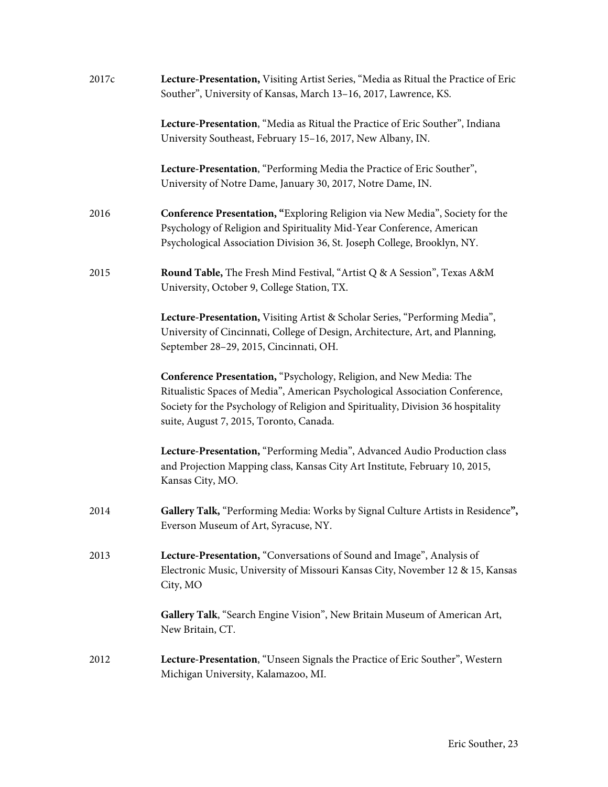| 2017c | Lecture-Presentation, Visiting Artist Series, "Media as Ritual the Practice of Eric<br>Souther", University of Kansas, March 13-16, 2017, Lawrence, KS.                                                                                                                           |
|-------|-----------------------------------------------------------------------------------------------------------------------------------------------------------------------------------------------------------------------------------------------------------------------------------|
|       | Lecture-Presentation, "Media as Ritual the Practice of Eric Souther", Indiana<br>University Southeast, February 15-16, 2017, New Albany, IN.                                                                                                                                      |
|       | Lecture-Presentation, "Performing Media the Practice of Eric Souther",<br>University of Notre Dame, January 30, 2017, Notre Dame, IN.                                                                                                                                             |
| 2016  | Conference Presentation, "Exploring Religion via New Media", Society for the<br>Psychology of Religion and Spirituality Mid-Year Conference, American<br>Psychological Association Division 36, St. Joseph College, Brooklyn, NY.                                                 |
| 2015  | Round Table, The Fresh Mind Festival, "Artist Q & A Session", Texas A&M<br>University, October 9, College Station, TX.                                                                                                                                                            |
|       | Lecture-Presentation, Visiting Artist & Scholar Series, "Performing Media",<br>University of Cincinnati, College of Design, Architecture, Art, and Planning,<br>September 28-29, 2015, Cincinnati, OH.                                                                            |
|       | Conference Presentation, "Psychology, Religion, and New Media: The<br>Ritualistic Spaces of Media", American Psychological Association Conference,<br>Society for the Psychology of Religion and Spirituality, Division 36 hospitality<br>suite, August 7, 2015, Toronto, Canada. |
|       | Lecture-Presentation, "Performing Media", Advanced Audio Production class<br>and Projection Mapping class, Kansas City Art Institute, February 10, 2015,<br>Kansas City, MO.                                                                                                      |
| 2014  | Gallery Talk, "Performing Media: Works by Signal Culture Artists in Residence",<br>Everson Museum of Art, Syracuse, NY.                                                                                                                                                           |
| 2013  | Lecture-Presentation, "Conversations of Sound and Image", Analysis of<br>Electronic Music, University of Missouri Kansas City, November 12 & 15, Kansas<br>City, MO                                                                                                               |
|       | Gallery Talk, "Search Engine Vision", New Britain Museum of American Art,<br>New Britain, CT.                                                                                                                                                                                     |
| 2012  | Lecture-Presentation, "Unseen Signals the Practice of Eric Souther", Western<br>Michigan University, Kalamazoo, MI.                                                                                                                                                               |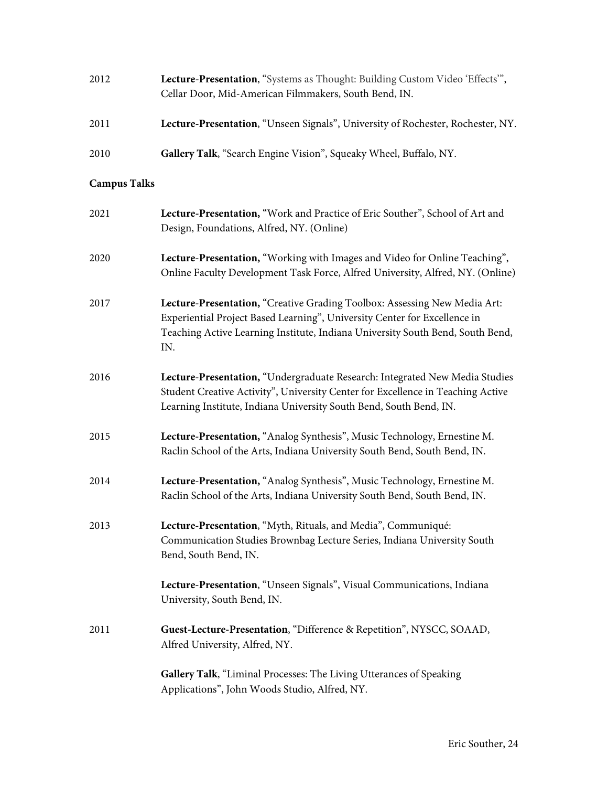| 2012 | Lecture-Presentation, "Systems as Thought: Building Custom Video 'Effects'",    |
|------|---------------------------------------------------------------------------------|
|      | Cellar Door, Mid-American Filmmakers, South Bend, IN.                           |
|      |                                                                                 |
| 2011 | Lecture-Presentation, "Unseen Signals", University of Rochester, Rochester, NY. |
|      |                                                                                 |
| 2010 | Gallery Talk, "Search Engine Vision", Squeaky Wheel, Buffalo, NY.               |

# **Campus Talks**

| 2021 | Lecture-Presentation, "Work and Practice of Eric Souther", School of Art and<br>Design, Foundations, Alfred, NY. (Online)                                                                                                                       |
|------|-------------------------------------------------------------------------------------------------------------------------------------------------------------------------------------------------------------------------------------------------|
| 2020 | Lecture-Presentation, "Working with Images and Video for Online Teaching",<br>Online Faculty Development Task Force, Alfred University, Alfred, NY. (Online)                                                                                    |
| 2017 | Lecture-Presentation, "Creative Grading Toolbox: Assessing New Media Art:<br>Experiential Project Based Learning", University Center for Excellence in<br>Teaching Active Learning Institute, Indiana University South Bend, South Bend,<br>IN. |
| 2016 | Lecture-Presentation, "Undergraduate Research: Integrated New Media Studies<br>Student Creative Activity", University Center for Excellence in Teaching Active<br>Learning Institute, Indiana University South Bend, South Bend, IN.            |
| 2015 | Lecture-Presentation, "Analog Synthesis", Music Technology, Ernestine M.<br>Raclin School of the Arts, Indiana University South Bend, South Bend, IN.                                                                                           |
| 2014 | Lecture-Presentation, "Analog Synthesis", Music Technology, Ernestine M.<br>Raclin School of the Arts, Indiana University South Bend, South Bend, IN.                                                                                           |
| 2013 | Lecture-Presentation, "Myth, Rituals, and Media", Communiqué:<br>Communication Studies Brownbag Lecture Series, Indiana University South<br>Bend, South Bend, IN.                                                                               |
|      | Lecture-Presentation, "Unseen Signals", Visual Communications, Indiana<br>University, South Bend, IN.                                                                                                                                           |
| 2011 | Guest-Lecture-Presentation, "Difference & Repetition", NYSCC, SOAAD,<br>Alfred University, Alfred, NY.                                                                                                                                          |
|      | Gallery Talk, "Liminal Processes: The Living Utterances of Speaking<br>Applications", John Woods Studio, Alfred, NY.                                                                                                                            |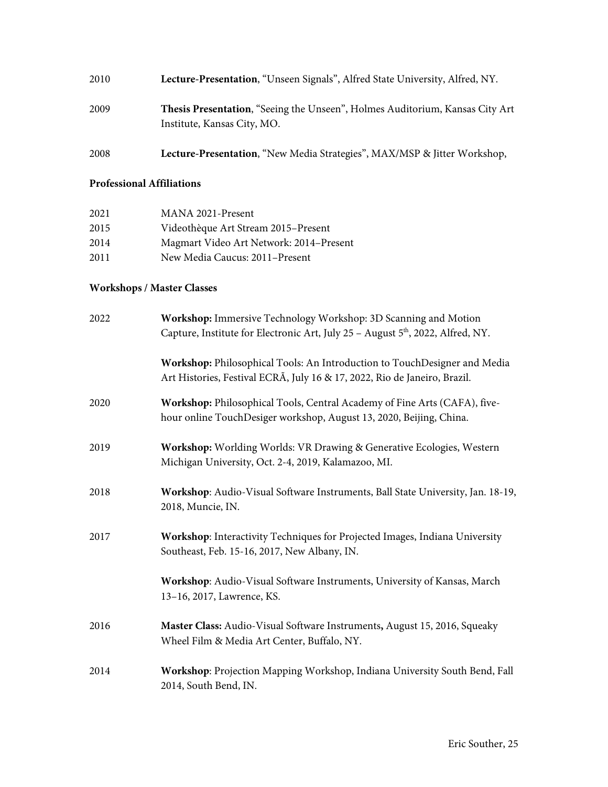| 2010 | Lecture-Presentation, "Unseen Signals", Alfred State University, Alfred, NY.                                |
|------|-------------------------------------------------------------------------------------------------------------|
| 2009 | Thesis Presentation, "Seeing the Unseen", Holmes Auditorium, Kansas City Art<br>Institute, Kansas City, MO. |
| 2008 | Lecture-Presentation, "New Media Strategies", MAX/MSP & Jitter Workshop,                                    |

#### **Professional Affiliations**

| 2021 | MANA 2021-Present                       |
|------|-----------------------------------------|
| 2015 | Videothèque Art Stream 2015-Present     |
| 2014 | Magmart Video Art Network: 2014–Present |
| 2011 | New Media Caucus: 2011-Present          |

# **Workshops / Master Classes**

| 2022 | Workshop: Immersive Technology Workshop: 3D Scanning and Motion<br>Capture, Institute for Electronic Art, July 25 - August 5 <sup>th</sup> , 2022, Alfred, NY. |
|------|----------------------------------------------------------------------------------------------------------------------------------------------------------------|
|      | Workshop: Philosophical Tools: An Introduction to TouchDesigner and Media<br>Art Histories, Festival ECRÃ, July 16 & 17, 2022, Rio de Janeiro, Brazil.         |
| 2020 | Workshop: Philosophical Tools, Central Academy of Fine Arts (CAFA), five-<br>hour online TouchDesiger workshop, August 13, 2020, Beijing, China.               |
| 2019 | Workshop: Worlding Worlds: VR Drawing & Generative Ecologies, Western<br>Michigan University, Oct. 2-4, 2019, Kalamazoo, MI.                                   |
| 2018 | Workshop: Audio-Visual Software Instruments, Ball State University, Jan. 18-19,<br>2018, Muncie, IN.                                                           |
| 2017 | Workshop: Interactivity Techniques for Projected Images, Indiana University<br>Southeast, Feb. 15-16, 2017, New Albany, IN.                                    |
|      | Workshop: Audio-Visual Software Instruments, University of Kansas, March<br>13-16, 2017, Lawrence, KS.                                                         |
| 2016 | Master Class: Audio-Visual Software Instruments, August 15, 2016, Squeaky<br>Wheel Film & Media Art Center, Buffalo, NY.                                       |
| 2014 | Workshop: Projection Mapping Workshop, Indiana University South Bend, Fall<br>2014, South Bend, IN.                                                            |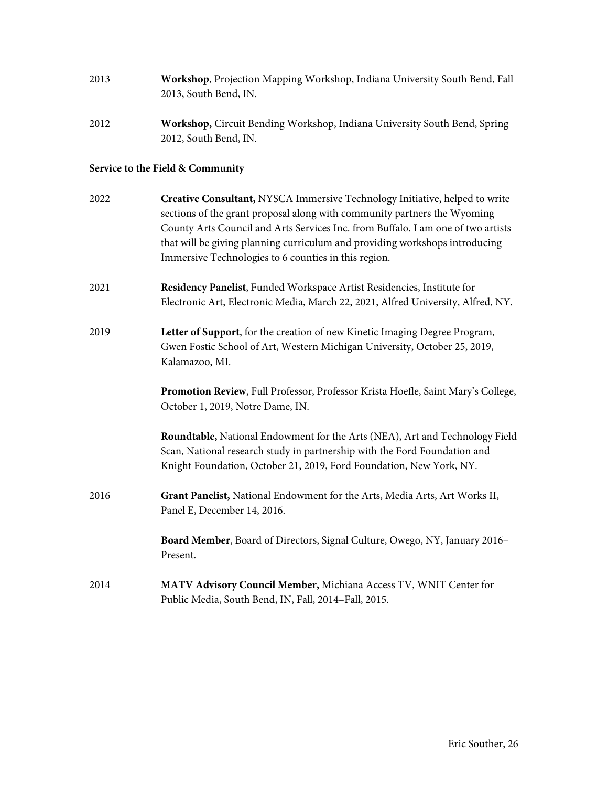| 2013 | Workshop, Projection Mapping Workshop, Indiana University South Bend, Fall<br>2013, South Bend, IN.                                                                                                                                                                                                                                                                                |
|------|------------------------------------------------------------------------------------------------------------------------------------------------------------------------------------------------------------------------------------------------------------------------------------------------------------------------------------------------------------------------------------|
| 2012 | Workshop, Circuit Bending Workshop, Indiana University South Bend, Spring<br>2012, South Bend, IN.                                                                                                                                                                                                                                                                                 |
|      | Service to the Field & Community                                                                                                                                                                                                                                                                                                                                                   |
| 2022 | Creative Consultant, NYSCA Immersive Technology Initiative, helped to write<br>sections of the grant proposal along with community partners the Wyoming<br>County Arts Council and Arts Services Inc. from Buffalo. I am one of two artists<br>that will be giving planning curriculum and providing workshops introducing<br>Immersive Technologies to 6 counties in this region. |
| 2021 | Residency Panelist, Funded Workspace Artist Residencies, Institute for<br>Electronic Art, Electronic Media, March 22, 2021, Alfred University, Alfred, NY.                                                                                                                                                                                                                         |
| 2019 | Letter of Support, for the creation of new Kinetic Imaging Degree Program,<br>Gwen Fostic School of Art, Western Michigan University, October 25, 2019,<br>Kalamazoo, MI.                                                                                                                                                                                                          |
|      | Promotion Review, Full Professor, Professor Krista Hoefle, Saint Mary's College,<br>October 1, 2019, Notre Dame, IN.                                                                                                                                                                                                                                                               |
|      | Roundtable, National Endowment for the Arts (NEA), Art and Technology Field<br>Scan, National research study in partnership with the Ford Foundation and<br>Knight Foundation, October 21, 2019, Ford Foundation, New York, NY.                                                                                                                                                    |
| 2016 | Grant Panelist, National Endowment for the Arts, Media Arts, Art Works II,<br>Panel E, December 14, 2016.                                                                                                                                                                                                                                                                          |
|      | Board Member, Board of Directors, Signal Culture, Owego, NY, January 2016-<br>Present.                                                                                                                                                                                                                                                                                             |
| 2014 | MATV Advisory Council Member, Michiana Access TV, WNIT Center for<br>Public Media, South Bend, IN, Fall, 2014-Fall, 2015.                                                                                                                                                                                                                                                          |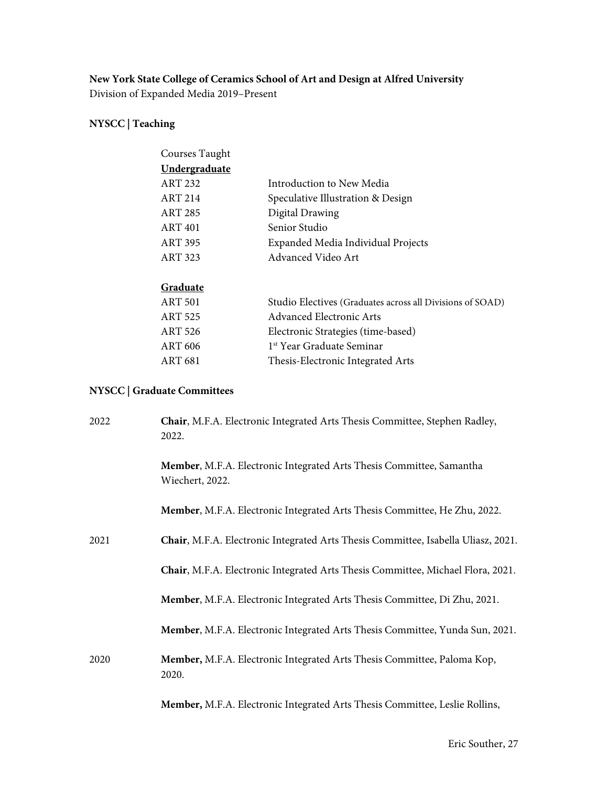# **New York State College of Ceramics School of Art and Design at Alfred University**

Division of Expanded Media 2019–Present

# **NYSCC | Teaching**

| Courses Taught       |                                                           |
|----------------------|-----------------------------------------------------------|
| <b>Undergraduate</b> |                                                           |
| <b>ART 232</b>       | Introduction to New Media                                 |
| <b>ART 214</b>       | Speculative Illustration & Design                         |
| <b>ART 285</b>       | Digital Drawing                                           |
| <b>ART 401</b>       | Senior Studio                                             |
| <b>ART 395</b>       | Expanded Media Individual Projects                        |
| <b>ART 323</b>       | Advanced Video Art                                        |
|                      |                                                           |
| Graduate             |                                                           |
| <b>ART 501</b>       | Studio Electives (Graduates across all Divisions of SOAD) |
| <b>ART 525</b>       | Advanced Electronic Arts                                  |
| ART 526              | Electronic Strategies (time-based)                        |
| ART 606              | 1 <sup>st</sup> Year Graduate Seminar                     |
| ART 681              | Thesis-Electronic Integrated Arts                         |
|                      |                                                           |

# **NYSCC | Graduate Committees**

| 2022 | Chair, M.F.A. Electronic Integrated Arts Thesis Committee, Stephen Radley,<br>2022.     |
|------|-----------------------------------------------------------------------------------------|
|      | Member, M.F.A. Electronic Integrated Arts Thesis Committee, Samantha<br>Wiechert, 2022. |
|      | Member, M.F.A. Electronic Integrated Arts Thesis Committee, He Zhu, 2022.               |
| 2021 | Chair, M.F.A. Electronic Integrated Arts Thesis Committee, Isabella Uliasz, 2021.       |
|      | Chair, M.F.A. Electronic Integrated Arts Thesis Committee, Michael Flora, 2021.         |
|      | Member, M.F.A. Electronic Integrated Arts Thesis Committee, Di Zhu, 2021.               |
|      | Member, M.F.A. Electronic Integrated Arts Thesis Committee, Yunda Sun, 2021.            |
| 2020 | Member, M.F.A. Electronic Integrated Arts Thesis Committee, Paloma Kop,<br>2020.        |
|      | Member, M.F.A. Electronic Integrated Arts Thesis Committee, Leslie Rollins,             |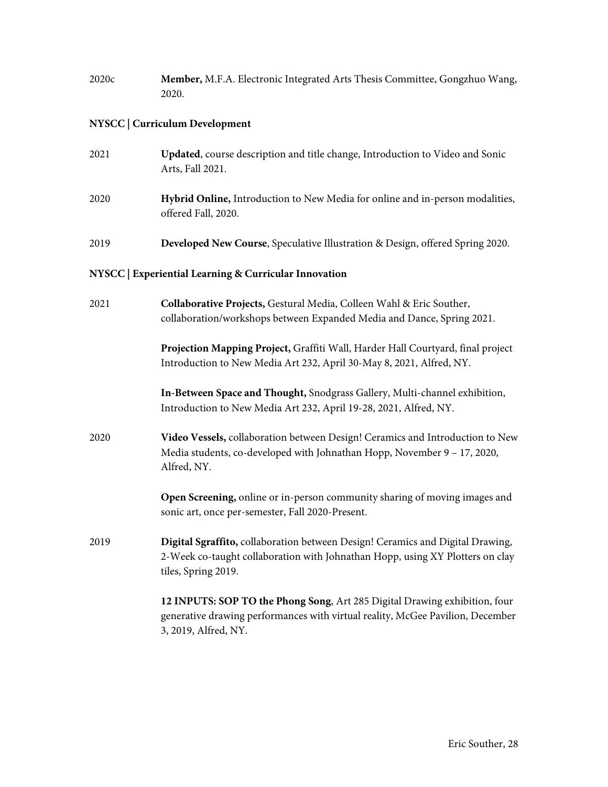| 2020c | Member, M.F.A. Electronic Integrated Arts Thesis Committee, Gongzhuo Wang,<br>2020.                                                                                                    |
|-------|----------------------------------------------------------------------------------------------------------------------------------------------------------------------------------------|
|       | NYSCC   Curriculum Development                                                                                                                                                         |
| 2021  | Updated, course description and title change, Introduction to Video and Sonic<br>Arts, Fall 2021.                                                                                      |
| 2020  | Hybrid Online, Introduction to New Media for online and in-person modalities,<br>offered Fall, 2020.                                                                                   |
| 2019  | Developed New Course, Speculative Illustration & Design, offered Spring 2020.                                                                                                          |
|       | NYSCC   Experiential Learning & Curricular Innovation                                                                                                                                  |
| 2021  | Collaborative Projects, Gestural Media, Colleen Wahl & Eric Souther,<br>collaboration/workshops between Expanded Media and Dance, Spring 2021.                                         |
|       | Projection Mapping Project, Graffiti Wall, Harder Hall Courtyard, final project<br>Introduction to New Media Art 232, April 30-May 8, 2021, Alfred, NY.                                |
|       | In-Between Space and Thought, Snodgrass Gallery, Multi-channel exhibition,<br>Introduction to New Media Art 232, April 19-28, 2021, Alfred, NY.                                        |
| 2020  | Video Vessels, collaboration between Design! Ceramics and Introduction to New<br>Media students, co-developed with Johnathan Hopp, November 9 - 17, 2020,<br>Alfred, NY.               |
|       | Open Screening, online or in-person community sharing of moving images and<br>sonic art, once per-semester, Fall 2020-Present.                                                         |
| 2019  | Digital Sgraffito, collaboration between Design! Ceramics and Digital Drawing,<br>2-Week co-taught collaboration with Johnathan Hopp, using XY Plotters on clay<br>tiles, Spring 2019. |
|       | 12 INPUTS: SOP TO the Phong Song, Art 285 Digital Drawing exhibition, four<br>generative drawing performances with virtual reality, McGee Pavilion, December<br>3, 2019, Alfred, NY.   |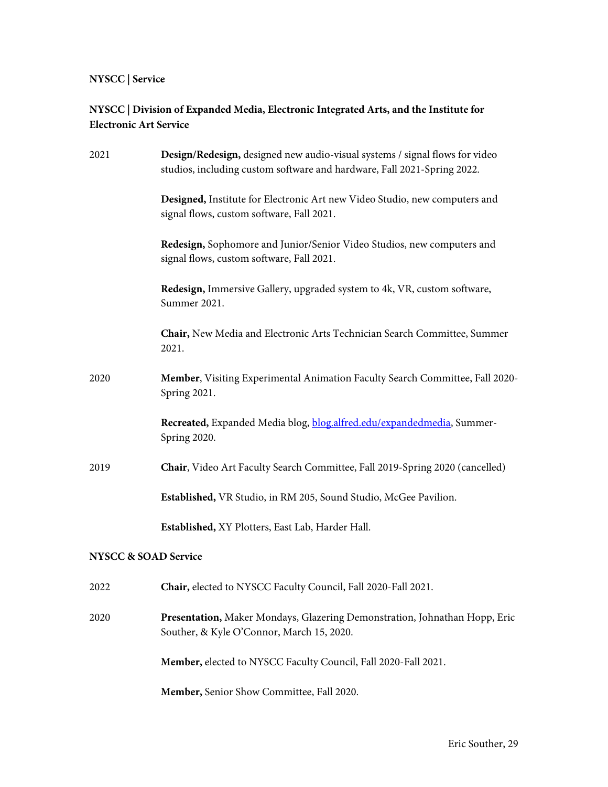# **NYSCC | Service**

# **NYSCC | Division of Expanded Media, Electronic Integrated Arts, and the Institute for Electronic Art Service**

| 2021                            | Design/Redesign, designed new audio-visual systems / signal flows for video<br>studios, including custom software and hardware, Fall 2021-Spring 2022. |
|---------------------------------|--------------------------------------------------------------------------------------------------------------------------------------------------------|
|                                 | Designed, Institute for Electronic Art new Video Studio, new computers and<br>signal flows, custom software, Fall 2021.                                |
|                                 | Redesign, Sophomore and Junior/Senior Video Studios, new computers and<br>signal flows, custom software, Fall 2021.                                    |
|                                 | Redesign, Immersive Gallery, upgraded system to 4k, VR, custom software,<br>Summer 2021.                                                               |
|                                 | Chair, New Media and Electronic Arts Technician Search Committee, Summer<br>2021.                                                                      |
| 2020                            | Member, Visiting Experimental Animation Faculty Search Committee, Fall 2020-<br>Spring 2021.                                                           |
|                                 | Recreated, Expanded Media blog, blog.alfred.edu/expandedmedia, Summer-<br>Spring 2020.                                                                 |
| 2019                            | Chair, Video Art Faculty Search Committee, Fall 2019-Spring 2020 (cancelled)                                                                           |
|                                 | Established, VR Studio, in RM 205, Sound Studio, McGee Pavilion.                                                                                       |
|                                 | Established, XY Plotters, East Lab, Harder Hall.                                                                                                       |
| <b>NYSCC &amp; SOAD Service</b> |                                                                                                                                                        |
| 2022                            | <b>Chair, elected to NYSCC Faculty Council, Fall 2020-Fall 2021</b>                                                                                    |
| 2020                            | Presentation, Maker Mondays, Glazering Demonstration, Johnathan Hopp, Eric<br>Souther, & Kyle O'Connor, March 15, 2020.                                |
|                                 | Member, elected to NYSCC Faculty Council, Fall 2020-Fall 2021.                                                                                         |
|                                 | Member, Senior Show Committee, Fall 2020.                                                                                                              |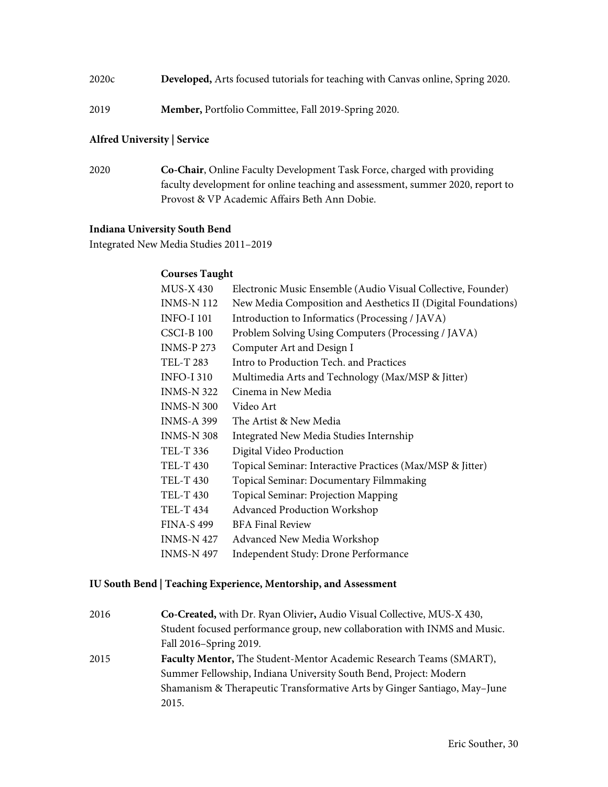- 2020c **Developed,** Arts focused tutorials for teaching with Canvas online, Spring 2020.
- 2019 **Member,** Portfolio Committee, Fall 2019-Spring 2020.

#### **Alfred University | Service**

2020 **Co-Chair**, Online Faculty Development Task Force, charged with providing faculty development for online teaching and assessment, summer 2020, report to Provost & VP Academic Affairs Beth Ann Dobie.

#### **Indiana University South Bend**

Integrated New Media Studies 2011–2019

#### **Courses Taught**

| <b>MUS-X 430</b>  | Electronic Music Ensemble (Audio Visual Collective, Founder)  |
|-------------------|---------------------------------------------------------------|
| <b>INMS-N 112</b> | New Media Composition and Aesthetics II (Digital Foundations) |
| <b>INFO-I 101</b> | Introduction to Informatics (Processing / JAVA)               |
| <b>CSCI-B100</b>  | Problem Solving Using Computers (Processing / JAVA)           |
| <b>INMS-P 273</b> | Computer Art and Design I                                     |
| TEL-T 283         | Intro to Production Tech, and Practices                       |
| <b>INFO-I310</b>  | Multimedia Arts and Technology (Max/MSP & Jitter)             |
| <b>INMS-N 322</b> | Cinema in New Media                                           |
| <b>INMS-N 300</b> | Video Art                                                     |
| <b>INMS-A 399</b> | The Artist & New Media                                        |
| <b>INMS-N 308</b> | Integrated New Media Studies Internship                       |
| TEL-T 336         | Digital Video Production                                      |
| TEL-T 430         | Topical Seminar: Interactive Practices (Max/MSP & Jitter)     |
| <b>TEL-T 430</b>  | Topical Seminar: Documentary Filmmaking                       |
| <b>TEL-T 430</b>  | <b>Topical Seminar: Projection Mapping</b>                    |
| <b>TEL-T 434</b>  | <b>Advanced Production Workshop</b>                           |
| <b>FINA-S 499</b> | <b>BFA Final Review</b>                                       |
| <b>INMS-N 427</b> | Advanced New Media Workshop                                   |
| <b>INMS-N 497</b> | Independent Study: Drone Performance                          |

#### **IU South Bend | Teaching Experience, Mentorship, and Assessment**

| 2016 | Co-Created, with Dr. Ryan Olivier, Audio Visual Collective, MUS-X 430,    |
|------|---------------------------------------------------------------------------|
|      | Student focused performance group, new collaboration with INMS and Music. |
|      | Fall 2016-Spring 2019.                                                    |
| 2015 | Faculty Mentor, The Student-Mentor Academic Research Teams (SMART),       |
|      | Summer Fellowship, Indiana University South Bend, Project: Modern         |
|      | Shamanism & Therapeutic Transformative Arts by Ginger Santiago, May-June  |
|      | 2015.                                                                     |
|      |                                                                           |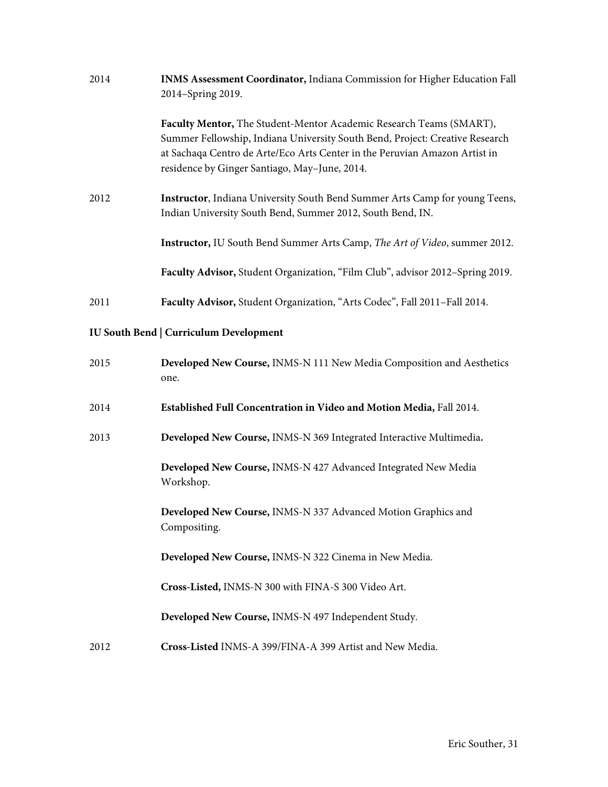| 2014                                          | INMS Assessment Coordinator, Indiana Commission for Higher Education Fall<br>2014-Spring 2019.                                                                                                                                                                                     |  |
|-----------------------------------------------|------------------------------------------------------------------------------------------------------------------------------------------------------------------------------------------------------------------------------------------------------------------------------------|--|
|                                               | Faculty Mentor, The Student-Mentor Academic Research Teams (SMART),<br>Summer Fellowship, Indiana University South Bend, Project: Creative Research<br>at Sachaqa Centro de Arte/Eco Arts Center in the Peruvian Amazon Artist in<br>residence by Ginger Santiago, May-June, 2014. |  |
| 2012                                          | Instructor, Indiana University South Bend Summer Arts Camp for young Teens,<br>Indian University South Bend, Summer 2012, South Bend, IN.                                                                                                                                          |  |
|                                               | Instructor, IU South Bend Summer Arts Camp, The Art of Video, summer 2012.                                                                                                                                                                                                         |  |
|                                               | Faculty Advisor, Student Organization, "Film Club", advisor 2012-Spring 2019.                                                                                                                                                                                                      |  |
| 2011                                          | Faculty Advisor, Student Organization, "Arts Codec", Fall 2011-Fall 2014.                                                                                                                                                                                                          |  |
| <b>IU South Bend   Curriculum Development</b> |                                                                                                                                                                                                                                                                                    |  |
| 2015                                          | Developed New Course, INMS-N 111 New Media Composition and Aesthetics<br>one.                                                                                                                                                                                                      |  |
| 2014                                          | Established Full Concentration in Video and Motion Media, Fall 2014.                                                                                                                                                                                                               |  |
| 2013                                          | Developed New Course, INMS-N 369 Integrated Interactive Multimedia.                                                                                                                                                                                                                |  |
|                                               | Developed New Course, INMS-N 427 Advanced Integrated New Media<br>Workshop.                                                                                                                                                                                                        |  |
|                                               | Developed New Course, INMS-N 337 Advanced Motion Graphics and<br>Compositing.                                                                                                                                                                                                      |  |
|                                               | Developed New Course, INMS-N 322 Cinema in New Media.                                                                                                                                                                                                                              |  |
|                                               | Cross-Listed, INMS-N 300 with FINA-S 300 Video Art.                                                                                                                                                                                                                                |  |
|                                               | Developed New Course, INMS-N 497 Independent Study.                                                                                                                                                                                                                                |  |
| 2012                                          | Cross-Listed INMS-A 399/FINA-A 399 Artist and New Media.                                                                                                                                                                                                                           |  |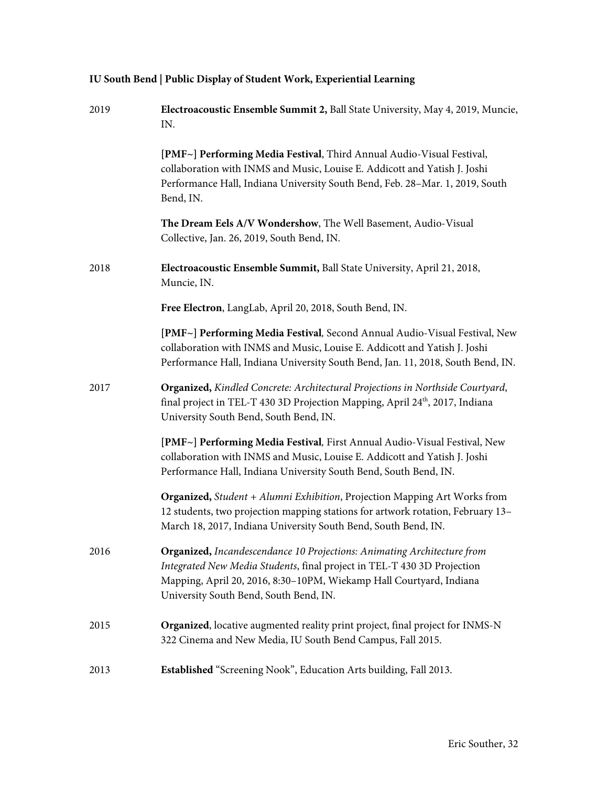| 2019 | Electroacoustic Ensemble Summit 2, Ball State University, May 4, 2019, Muncie,<br>IN.                                                                                                                                                                               |
|------|---------------------------------------------------------------------------------------------------------------------------------------------------------------------------------------------------------------------------------------------------------------------|
|      | [PMF~] Performing Media Festival, Third Annual Audio-Visual Festival,<br>collaboration with INMS and Music, Louise E. Addicott and Yatish J. Joshi<br>Performance Hall, Indiana University South Bend, Feb. 28-Mar. 1, 2019, South<br>Bend, IN.                     |
|      | The Dream Eels A/V Wondershow, The Well Basement, Audio-Visual<br>Collective, Jan. 26, 2019, South Bend, IN.                                                                                                                                                        |
| 2018 | Electroacoustic Ensemble Summit, Ball State University, April 21, 2018,<br>Muncie, IN.                                                                                                                                                                              |
|      | Free Electron, LangLab, April 20, 2018, South Bend, IN.                                                                                                                                                                                                             |
|      | [PMF~] Performing Media Festival, Second Annual Audio-Visual Festival, New<br>collaboration with INMS and Music, Louise E. Addicott and Yatish J. Joshi<br>Performance Hall, Indiana University South Bend, Jan. 11, 2018, South Bend, IN.                          |
| 2017 | Organized, Kindled Concrete: Architectural Projections in Northside Courtyard,<br>final project in TEL-T 430 3D Projection Mapping, April 24 <sup>th</sup> , 2017, Indiana<br>University South Bend, South Bend, IN.                                                |
|      | [PMF~] Performing Media Festival, First Annual Audio-Visual Festival, New<br>collaboration with INMS and Music, Louise E. Addicott and Yatish J. Joshi<br>Performance Hall, Indiana University South Bend, South Bend, IN.                                          |
|      | Organized, Student + Alumni Exhibition, Projection Mapping Art Works from<br>12 students, two projection mapping stations for artwork rotation, February 13-<br>March 18, 2017, Indiana University South Bend, South Bend, IN.                                      |
| 2016 | Organized, Incandescendance 10 Projections: Animating Architecture from<br>Integrated New Media Students, final project in TEL-T 430 3D Projection<br>Mapping, April 20, 2016, 8:30-10PM, Wiekamp Hall Courtyard, Indiana<br>University South Bend, South Bend, IN. |
| 2015 | Organized, locative augmented reality print project, final project for INMS-N<br>322 Cinema and New Media, IU South Bend Campus, Fall 2015.                                                                                                                         |
| 2013 | Established "Screening Nook", Education Arts building, Fall 2013.                                                                                                                                                                                                   |

# **IU South Bend | Public Display of Student Work, Experiential Learning**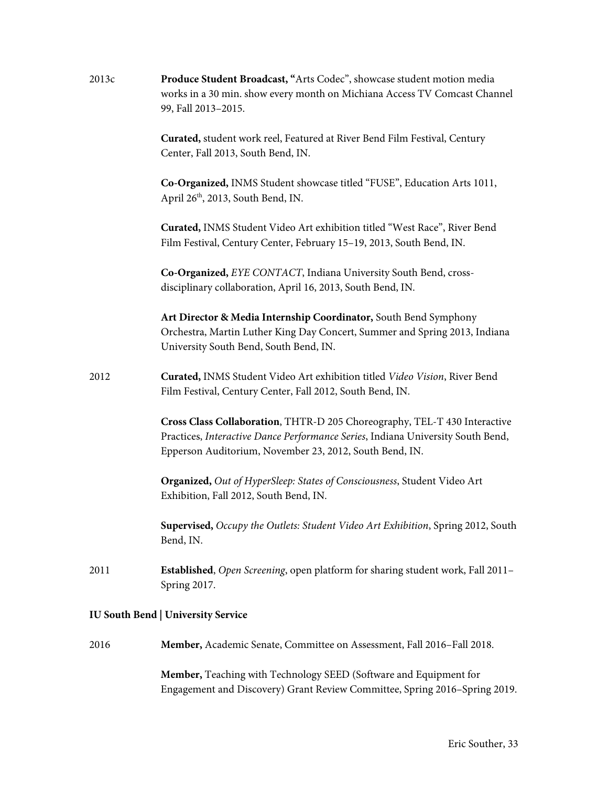| 2013c | Produce Student Broadcast, "Arts Codec", showcase student motion media<br>works in a 30 min. show every month on Michiana Access TV Comcast Channel<br>99, Fall 2013-2015.                                              |
|-------|-------------------------------------------------------------------------------------------------------------------------------------------------------------------------------------------------------------------------|
|       | Curated, student work reel, Featured at River Bend Film Festival, Century<br>Center, Fall 2013, South Bend, IN.                                                                                                         |
|       | Co-Organized, INMS Student showcase titled "FUSE", Education Arts 1011,<br>April 26 <sup>th</sup> , 2013, South Bend, IN.                                                                                               |
|       | Curated, INMS Student Video Art exhibition titled "West Race", River Bend<br>Film Festival, Century Center, February 15-19, 2013, South Bend, IN.                                                                       |
|       | Co-Organized, EYE CONTACT, Indiana University South Bend, cross-<br>disciplinary collaboration, April 16, 2013, South Bend, IN.                                                                                         |
|       | Art Director & Media Internship Coordinator, South Bend Symphony<br>Orchestra, Martin Luther King Day Concert, Summer and Spring 2013, Indiana<br>University South Bend, South Bend, IN.                                |
| 2012  | Curated, INMS Student Video Art exhibition titled Video Vision, River Bend<br>Film Festival, Century Center, Fall 2012, South Bend, IN.                                                                                 |
|       | Cross Class Collaboration, THTR-D 205 Choreography, TEL-T 430 Interactive<br>Practices, Interactive Dance Performance Series, Indiana University South Bend,<br>Epperson Auditorium, November 23, 2012, South Bend, IN. |
|       | Organized, Out of HyperSleep: States of Consciousness, Student Video Art<br>Exhibition, Fall 2012, South Bend, IN.                                                                                                      |
|       | Supervised, Occupy the Outlets: Student Video Art Exhibition, Spring 2012, South<br>Bend, IN.                                                                                                                           |
| 2011  | Established, Open Screening, open platform for sharing student work, Fall 2011-<br>Spring 2017.                                                                                                                         |
|       | <b>IU South Bend   University Service</b>                                                                                                                                                                               |

2016 **Member,** Academic Senate, Committee on Assessment, Fall 2016–Fall 2018.

**Member,** Teaching with Technology SEED (Software and Equipment for Engagement and Discovery) Grant Review Committee, Spring 2016–Spring 2019.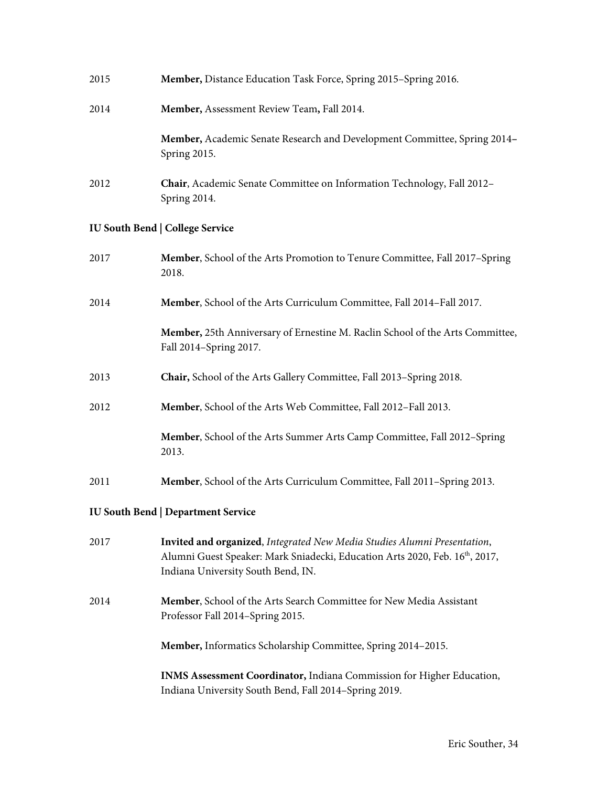| 2015                                      | Member, Distance Education Task Force, Spring 2015-Spring 2016.                                                                                                                                            |  |
|-------------------------------------------|------------------------------------------------------------------------------------------------------------------------------------------------------------------------------------------------------------|--|
| 2014                                      | Member, Assessment Review Team, Fall 2014.                                                                                                                                                                 |  |
|                                           | Member, Academic Senate Research and Development Committee, Spring 2014-<br>Spring 2015.                                                                                                                   |  |
| 2012                                      | Chair, Academic Senate Committee on Information Technology, Fall 2012-<br>Spring 2014.                                                                                                                     |  |
|                                           | <b>IU South Bend   College Service</b>                                                                                                                                                                     |  |
| 2017                                      | Member, School of the Arts Promotion to Tenure Committee, Fall 2017-Spring<br>2018.                                                                                                                        |  |
| 2014                                      | Member, School of the Arts Curriculum Committee, Fall 2014-Fall 2017.                                                                                                                                      |  |
|                                           | Member, 25th Anniversary of Ernestine M. Raclin School of the Arts Committee,<br>Fall 2014-Spring 2017.                                                                                                    |  |
| 2013                                      | Chair, School of the Arts Gallery Committee, Fall 2013-Spring 2018.                                                                                                                                        |  |
| 2012                                      | Member, School of the Arts Web Committee, Fall 2012-Fall 2013.                                                                                                                                             |  |
|                                           | Member, School of the Arts Summer Arts Camp Committee, Fall 2012-Spring<br>2013.                                                                                                                           |  |
| 2011                                      | Member, School of the Arts Curriculum Committee, Fall 2011-Spring 2013.                                                                                                                                    |  |
| <b>IU South Bend   Department Service</b> |                                                                                                                                                                                                            |  |
| 2017                                      | Invited and organized, Integrated New Media Studies Alumni Presentation,<br>Alumni Guest Speaker: Mark Sniadecki, Education Arts 2020, Feb. 16 <sup>th</sup> , 2017,<br>Indiana University South Bend, IN. |  |
| 2014                                      | Member, School of the Arts Search Committee for New Media Assistant<br>Professor Fall 2014-Spring 2015.                                                                                                    |  |
|                                           | Member, Informatics Scholarship Committee, Spring 2014-2015.                                                                                                                                               |  |
|                                           | INMS Assessment Coordinator, Indiana Commission for Higher Education,<br>Indiana University South Bend, Fall 2014-Spring 2019.                                                                             |  |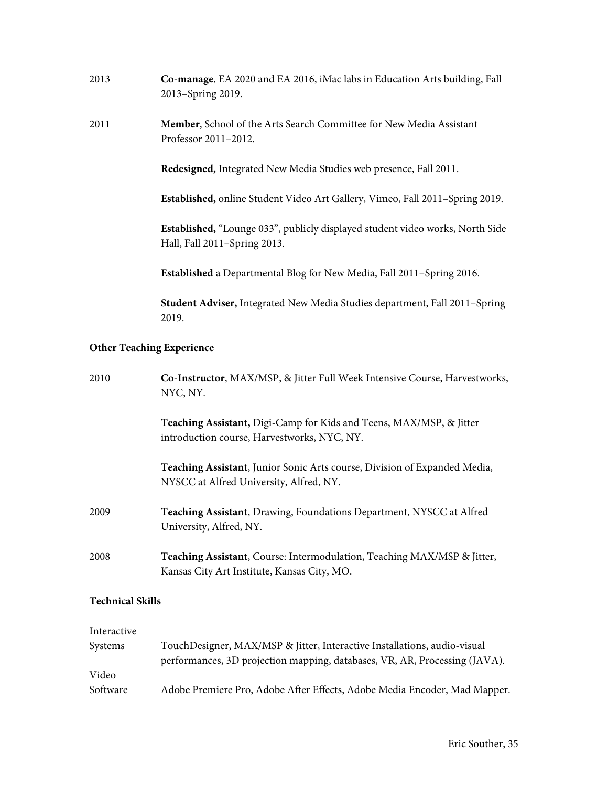| 2013                             | Co-manage, EA 2020 and EA 2016, iMac labs in Education Arts building, Fall<br>2013-Spring 2019.                        |  |
|----------------------------------|------------------------------------------------------------------------------------------------------------------------|--|
| 2011                             | Member, School of the Arts Search Committee for New Media Assistant<br>Professor 2011-2012.                            |  |
|                                  | Redesigned, Integrated New Media Studies web presence, Fall 2011.                                                      |  |
|                                  | Established, online Student Video Art Gallery, Vimeo, Fall 2011-Spring 2019.                                           |  |
|                                  | Established, "Lounge 033", publicly displayed student video works, North Side<br>Hall, Fall 2011-Spring 2013.          |  |
|                                  | Established a Departmental Blog for New Media, Fall 2011-Spring 2016.                                                  |  |
|                                  | Student Adviser, Integrated New Media Studies department, Fall 2011-Spring<br>2019.                                    |  |
| <b>Other Teaching Experience</b> |                                                                                                                        |  |
| 2010                             | Co-Instructor, MAX/MSP, & Jitter Full Week Intensive Course, Harvestworks,<br>NYC, NY.                                 |  |
|                                  | Teaching Assistant, Digi-Camp for Kids and Teens, MAX/MSP, & Jitter<br>introduction course, Harvestworks, NYC, NY.     |  |
|                                  | Teaching Assistant, Junior Sonic Arts course, Division of Expanded Media,<br>NYSCC at Alfred University, Alfred, NY.   |  |
| 2009                             | Teaching Assistant, Drawing, Foundations Department, NYSCC at Alfred<br>University, Alfred, NY.                        |  |
| 2008                             | Teaching Assistant, Course: Intermodulation, Teaching MAX/MSP & Jitter,<br>Kansas City Art Institute, Kansas City, MO. |  |
| <b>Technical Skills</b>          |                                                                                                                        |  |

| Interactive |                                                                            |
|-------------|----------------------------------------------------------------------------|
| Systems     | TouchDesigner, MAX/MSP & Jitter, Interactive Installations, audio-visual   |
|             | performances, 3D projection mapping, databases, VR, AR, Processing (JAVA). |
| Video       |                                                                            |
| Software    | Adobe Premiere Pro, Adobe After Effects, Adobe Media Encoder, Mad Mapper.  |